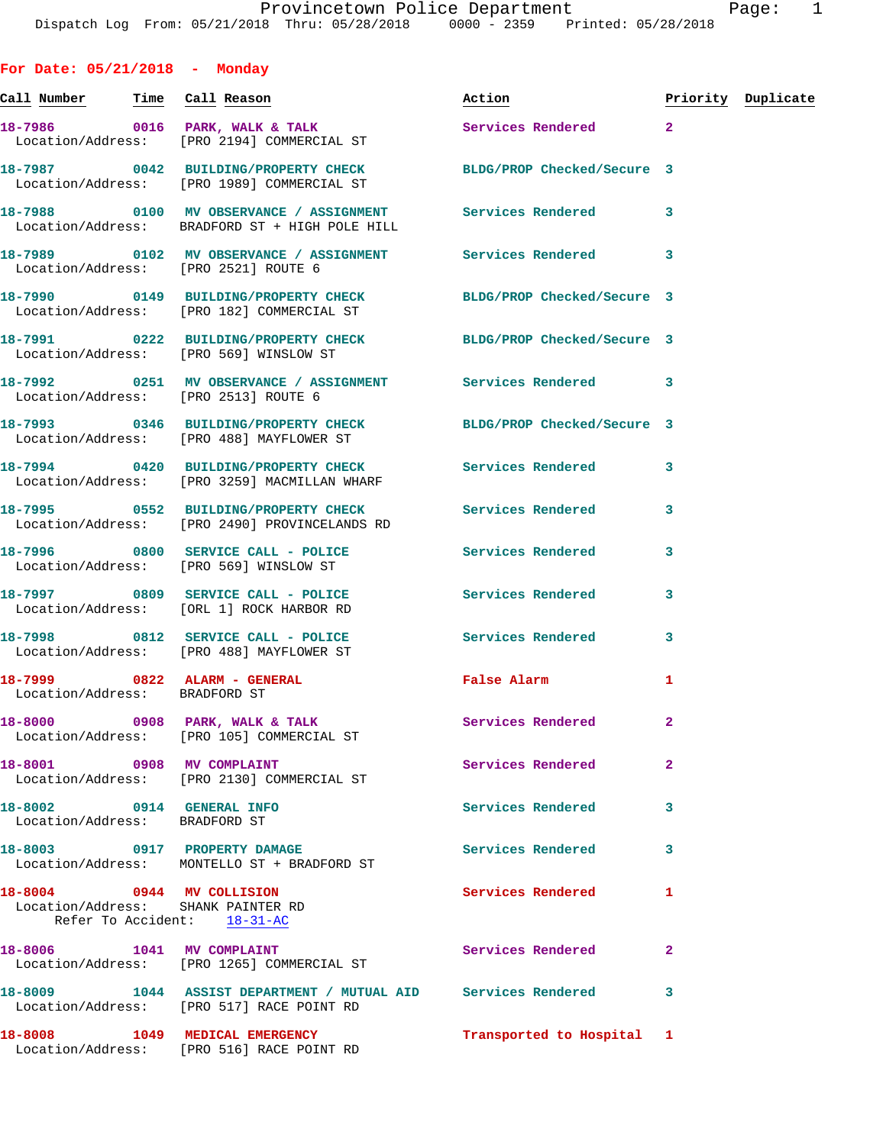| For Date: $05/21/2018$ - Monday                                                                |                                                                                                               |                                  |                |  |
|------------------------------------------------------------------------------------------------|---------------------------------------------------------------------------------------------------------------|----------------------------------|----------------|--|
|                                                                                                | Call Number Time Call Reason                                                                                  | Action <b>Priority</b> Duplicate |                |  |
|                                                                                                | 18-7986 0016 PARK, WALK & TALK 3 Services Rendered 2<br>Location/Address: [PRO 2194] COMMERCIAL ST            |                                  |                |  |
|                                                                                                | 18-7987 0042 BUILDING/PROPERTY CHECK BLDG/PROP Checked/Secure 3<br>Location/Address: [PRO 1989] COMMERCIAL ST |                                  |                |  |
|                                                                                                | Location/Address: BRADFORD ST + HIGH POLE HILL                                                                |                                  |                |  |
|                                                                                                | 18-7989 0102 MV OBSERVANCE / ASSIGNMENT Services Rendered 3<br>Location/Address: [PRO 2521] ROUTE 6           |                                  |                |  |
|                                                                                                | 18-7990 0149 BUILDING/PROPERTY CHECK BLDG/PROP Checked/Secure 3<br>Location/Address: [PRO 182] COMMERCIAL ST  |                                  |                |  |
|                                                                                                | 18-7991 0222 BUILDING/PROPERTY CHECK BLDG/PROP Checked/Secure 3<br>Location/Address: [PRO 569] WINSLOW ST     |                                  |                |  |
| Location/Address: [PRO 2513] ROUTE 6                                                           | 18-7992 0251 MV OBSERVANCE / ASSIGNMENT Services Rendered 3                                                   |                                  |                |  |
|                                                                                                | 18-7993 0346 BUILDING/PROPERTY CHECK BLDG/PROP Checked/Secure 3<br>Location/Address: [PRO 488] MAYFLOWER ST   |                                  |                |  |
|                                                                                                | 18-7994 0420 BUILDING/PROPERTY CHECK Services Rendered 3<br>Location/Address: [PRO 3259] MACMILLAN WHARF      |                                  |                |  |
|                                                                                                | 18-7995 0552 BUILDING/PROPERTY CHECK Services Rendered<br>Location/Address: [PRO 2490] PROVINCELANDS RD       |                                  | 3              |  |
|                                                                                                | 18-7996 0800 SERVICE CALL - POLICE Services Rendered<br>Location/Address: [PRO 569] WINSLOW ST                |                                  | 3              |  |
|                                                                                                | 18-7997 0809 SERVICE CALL - POLICE Services Rendered<br>Location/Address: [ORL 1] ROCK HARBOR RD              |                                  | 3              |  |
|                                                                                                | 18-7998 0812 SERVICE CALL - POLICE<br>Location/Address: [PRO 488] MAYFLOWER ST                                | Services Rendered                | 3              |  |
| Location/Address: BRADFORD ST                                                                  | 18-7999 6822 ALARM - GENERAL CONTRACTE Raise Alarm                                                            |                                  | 1              |  |
|                                                                                                | 18-8000 0908 PARK, WALK & TALK<br>Location/Address: [PRO 105] COMMERCIAL ST                                   | <b>Services Rendered</b>         | $\overline{2}$ |  |
|                                                                                                | 18-8001 0908 MV COMPLAINT<br>Location/Address: [PRO 2130] COMMERCIAL ST                                       | Services Rendered                | $\mathbf{2}$   |  |
| 18-8002 0914 GENERAL INFO<br>Location/Address: BRADFORD ST                                     |                                                                                                               | Services Rendered                | 3              |  |
|                                                                                                | 18-8003 0917 PROPERTY DAMAGE<br>Location/Address: MONTELLO ST + BRADFORD ST                                   | <b>Services Rendered</b>         | 3              |  |
| 18-8004 0944 MV COLLISION<br>Location/Address: SHANK PAINTER RD<br>Refer To Accident: 18-31-AC |                                                                                                               | Services Rendered                | 1              |  |
|                                                                                                | 18-8006 1041 MV COMPLAINT<br>Location/Address: [PRO 1265] COMMERCIAL ST                                       | <b>Services Rendered</b>         | $\mathbf{2}$   |  |
|                                                                                                | 18-8009 1044 ASSIST DEPARTMENT / MUTUAL AID Services Rendered<br>Location/Address: [PRO 517] RACE POINT RD    |                                  | 3              |  |
| 18-8008                                                                                        | 1049 MEDICAL EMERGENCY                                                                                        | Transported to Hospital 1        |                |  |

Location/Address: [PRO 516] RACE POINT RD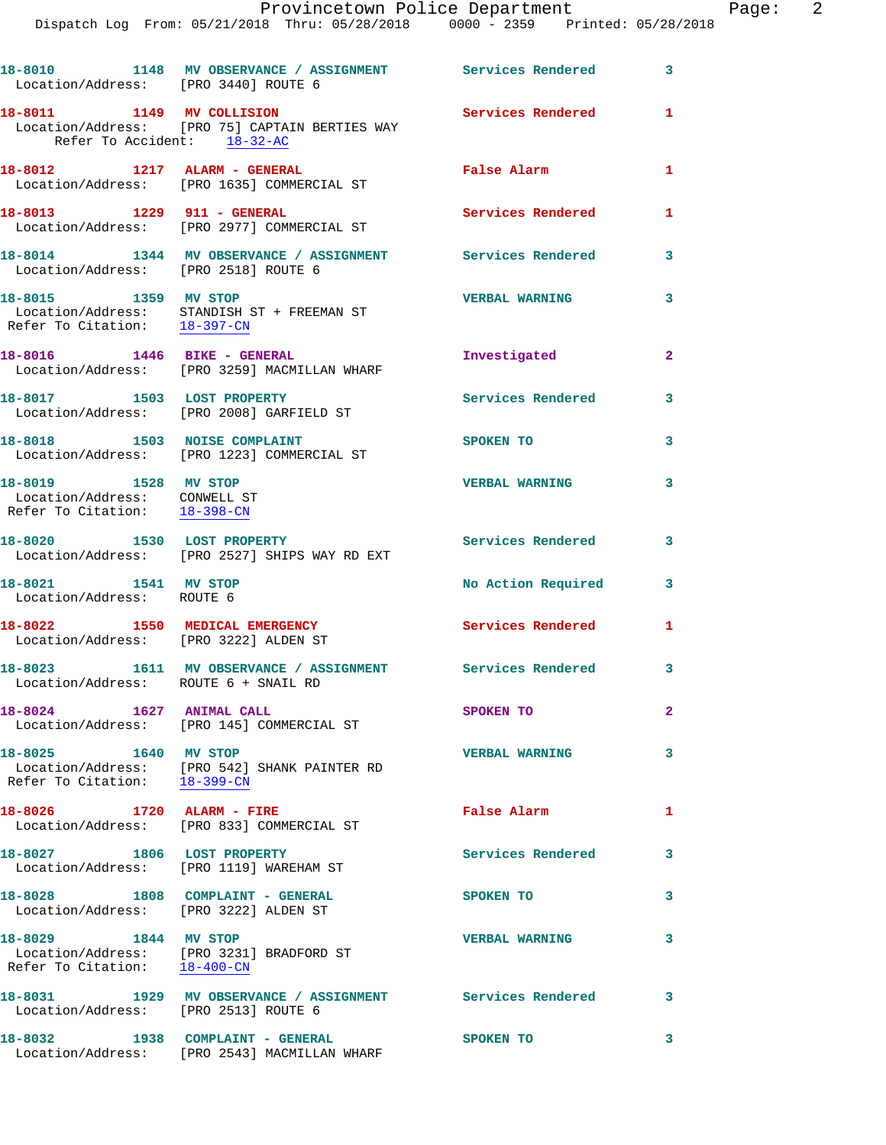| Location/Address: [PRO 3440] ROUTE 6                                                 | 18-8010 1148 MV OBSERVANCE / ASSIGNMENT Services Rendered                        |                          | 3            |
|--------------------------------------------------------------------------------------|----------------------------------------------------------------------------------|--------------------------|--------------|
| 18-8011 1149 MV COLLISION<br>Refer To Accident: 18-32-AC                             | Location/Address: [PRO 75] CAPTAIN BERTIES WAY                                   | Services Rendered        | 1            |
|                                                                                      | 18-8012 1217 ALARM - GENERAL<br>Location/Address: [PRO 1635] COMMERCIAL ST       | False Alarm              | 1            |
| 18-8013 1229 911 - GENERAL                                                           | Location/Address: [PRO 2977] COMMERCIAL ST                                       | Services Rendered        | 1            |
| Location/Address: [PRO 2518] ROUTE 6                                                 | 18-8014 1344 MV OBSERVANCE / ASSIGNMENT Services Rendered                        |                          | 3            |
| 18-8015 1359 MV STOP                                                                 | Location/Address: STANDISH ST + FREEMAN ST<br>Refer To Citation: 18-397-CN       | <b>VERBAL WARNING</b>    | 3            |
|                                                                                      | Location/Address: [PRO 3259] MACMILLAN WHARF                                     | Investigated             | $\mathbf{2}$ |
| 18-8017 1503 LOST PROPERTY                                                           | Location/Address: [PRO 2008] GARFIELD ST                                         | Services Rendered        | 3            |
|                                                                                      | 18-8018 1503 NOISE COMPLAINT<br>Location/Address: [PRO 1223] COMMERCIAL ST       | SPOKEN TO                | 3            |
| 18-8019 1528 MV STOP<br>Location/Address: CONWELL ST<br>Refer To Citation: 18-398-CN |                                                                                  | <b>VERBAL WARNING</b>    | 3            |
| 18-8020 1530 LOST PROPERTY                                                           | Location/Address: [PRO 2527] SHIPS WAY RD EXT                                    | <b>Services Rendered</b> | 3            |
| 18-8021 1541 MV STOP<br>Location/Address: ROUTE 6                                    |                                                                                  | No Action Required       | 3            |
| Location/Address: [PRO 3222] ALDEN ST                                                | 18-8022 1550 MEDICAL EMERGENCY                                                   | Services Rendered        | 1            |
| Location/Address: ROUTE 6 + SNAIL RD                                                 | 18-8023 1611 MV OBSERVANCE / ASSIGNMENT Services Rendered                        |                          | 3            |
| 18-8024 1627 ANIMAL CALL                                                             | Location/Address: [PRO 145] COMMERCIAL ST                                        | SPOKEN TO                | 2            |
| 18-8025 1640 MV STOP<br>Refer To Citation: 18-399-CN                                 | Location/Address: [PRO 542] SHANK PAINTER RD                                     | <b>VERBAL WARNING</b>    | 3            |
| 18-8026 1720 ALARM - FIRE                                                            | Location/Address: [PRO 833] COMMERCIAL ST                                        | False Alarm              | 1            |
|                                                                                      | 18-8027 1806 LOST PROPERTY<br>Location/Address: [PRO 1119] WAREHAM ST            | Services Rendered        | 3            |
| Location/Address: [PRO 3222] ALDEN ST                                                | 18-8028 1808 COMPLAINT - GENERAL                                                 | SPOKEN TO                | 3            |
| 18-8029 1844 MV STOP                                                                 | Location/Address: [PRO 3231] BRADFORD ST<br>Refer To Citation: 18-400-CN         | <b>VERBAL WARNING</b>    | 3            |
| Location/Address: [PRO 2513] ROUTE 6                                                 | 18-8031 1929 MV OBSERVANCE / ASSIGNMENT Services Rendered                        |                          | 3            |
|                                                                                      | 18-8032 1938 COMPLAINT - GENERAL<br>Location/Address: [PRO 2543] MACMILLAN WHARF | <b>SPOKEN TO</b>         | 3            |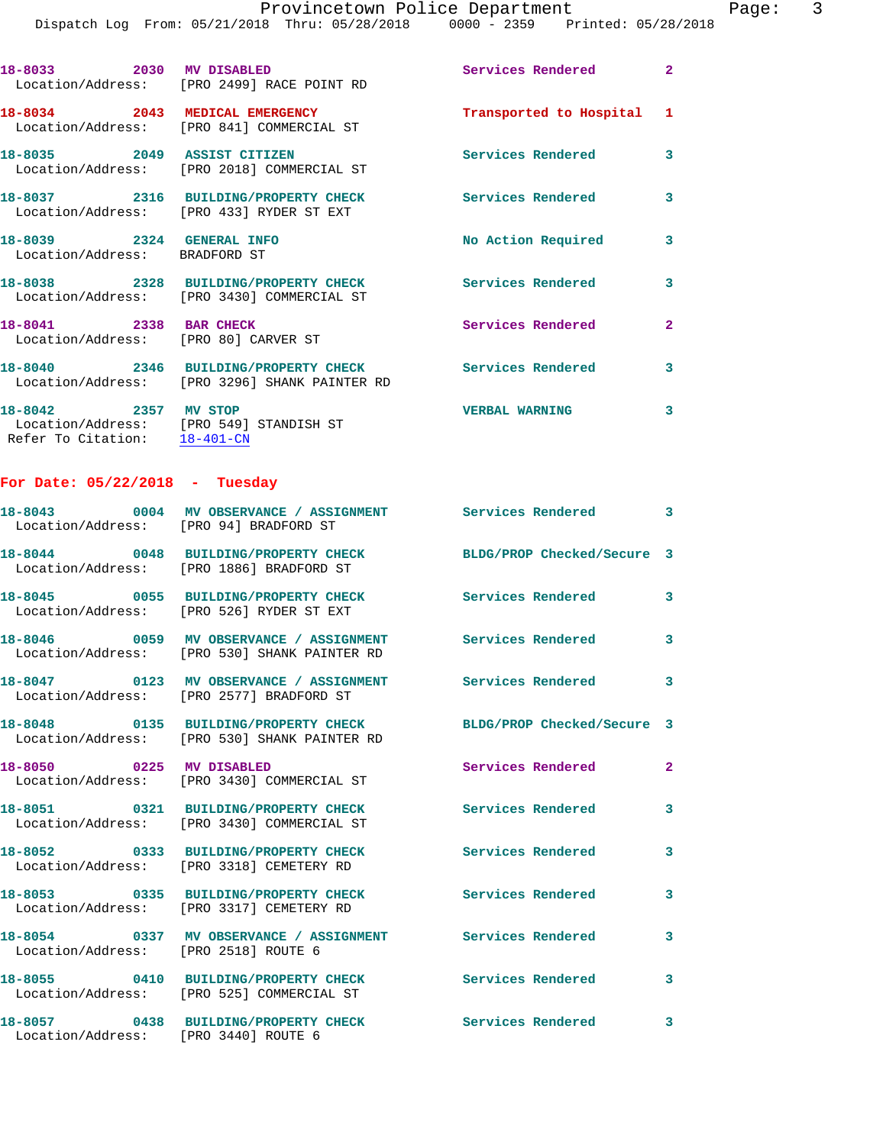**18-8033 2030 MV DISABLED Services Rendered 2**  Location/Address: [PRO 2499] RACE POINT RD **18-8034 2043 MEDICAL EMERGENCY Transported to Hospital 1**  Location/Address: [PRO 841] COMMERCIAL ST **18-8035 2049 ASSIST CITIZEN Services Rendered 3**  Location/Address: [PRO 2018] COMMERCIAL ST **18-8037 2316 BUILDING/PROPERTY CHECK Services Rendered 3**  Location/Address: [PRO 433] RYDER ST EXT **18-8039 2324 GENERAL INFO No Action Required 3**  Location/Address: BRADFORD ST **18-8038 2328 BUILDING/PROPERTY CHECK Services Rendered 3**  Location/Address: [PRO 3430] COMMERCIAL ST **18-8041** 2338 BAR CHECK **18-8041** 2338 BAR CHECK Location/Address: [PRO 80] CARVER ST **18-8040 2346 BUILDING/PROPERTY CHECK Services Rendered 3**  Location/Address: [PRO 3296] SHANK PAINTER RD

**18-8042 2357 MV STOP VERBAL WARNING 3**  Location/Address: [PRO 549] STANDISH ST Refer To Citation: 18-401-CN

## **For Date: 05/22/2018 - Tuesday**

| Location/Address: [PRO 94] BRADFORD ST | 18-8043 0004 MV OBSERVANCE / ASSIGNMENT Services Rendered 3                                                 |                            |                         |
|----------------------------------------|-------------------------------------------------------------------------------------------------------------|----------------------------|-------------------------|
|                                        | 18-8044 0048 BUILDING/PROPERTY CHECK BLDG/PROP Checked/Secure 3<br>Location/Address: [PRO 1886] BRADFORD ST |                            |                         |
|                                        | 18-8045 0055 BUILDING/PROPERTY CHECK<br>Location/Address: [PRO 526] RYDER ST EXT                            | Services Rendered          | $\mathbf{3}$            |
|                                        | 18-8046 0059 MV OBSERVANCE / ASSIGNMENT<br>Location/Address: [PRO 530] SHANK PAINTER RD                     | <b>Services Rendered</b>   | $\mathbf{3}$            |
|                                        | 18-8047 0123 MV OBSERVANCE / ASSIGNMENT<br>Location/Address: [PRO 2577] BRADFORD ST                         | <b>Services Rendered</b>   | $\mathbf{3}$            |
|                                        | 18-8048 0135 BUILDING/PROPERTY CHECK<br>Location/Address: [PRO 530] SHANK PAINTER RD                        | BLDG/PROP Checked/Secure 3 |                         |
| 18-8050 0225 MV DISABLED               | Location/Address: [PRO 3430] COMMERCIAL ST                                                                  | <b>Services Rendered</b>   | $\mathbf{2}$            |
|                                        | 18-8051 0321 BUILDING/PROPERTY CHECK<br>Location/Address: [PRO 3430] COMMERCIAL ST                          | <b>Services Rendered</b>   | 3                       |
|                                        | 18-8052 0333 BUILDING/PROPERTY CHECK<br>Location/Address: [PRO 3318] CEMETERY RD                            | <b>Services Rendered</b>   | 3                       |
|                                        | 18-8053 0335 BUILDING/PROPERTY CHECK<br>Location/Address: [PRO 3317] CEMETERY RD                            | Services Rendered          | 3                       |
| Location/Address: [PRO 2518] ROUTE 6   | 18-8054 0337 MV OBSERVANCE / ASSIGNMENT                                                                     | <b>Services Rendered</b>   | 3                       |
|                                        | 18-8055 0410 BUILDING/PROPERTY CHECK<br>Location/Address: [PRO 525] COMMERCIAL ST                           | <b>Services Rendered</b>   | 3                       |
| Location/Address: [PRO 3440] ROUTE 6   | 18-8057 0438 BUILDING/PROPERTY CHECK                                                                        | <b>Services Rendered</b>   | $\overline{\mathbf{3}}$ |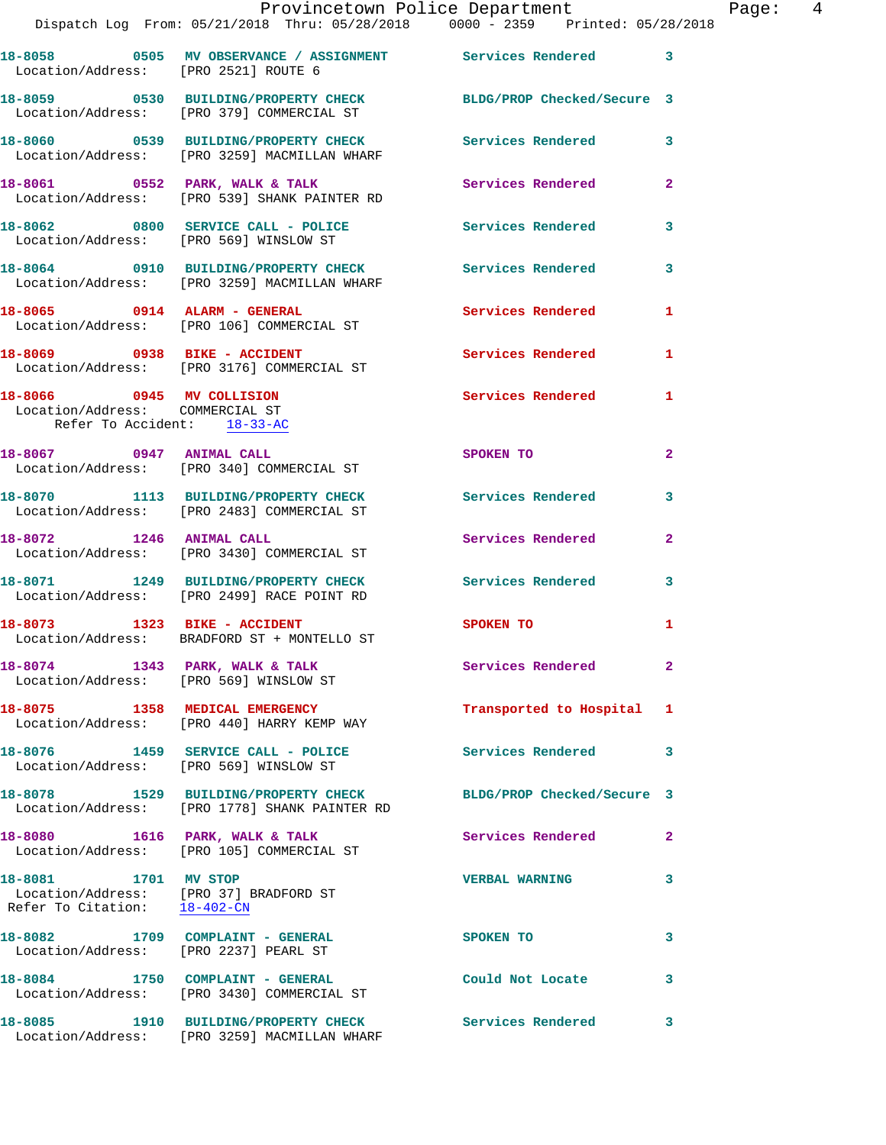|                                                                                             | Dispatch Log From: 05/21/2018 Thru: 05/28/2018 0000 - 2359 Printed: 05/28/2018                         |                            |                |
|---------------------------------------------------------------------------------------------|--------------------------------------------------------------------------------------------------------|----------------------------|----------------|
| Location/Address: [PRO 2521] ROUTE 6                                                        |                                                                                                        |                            | 3              |
|                                                                                             | 18-8059 0530 BUILDING/PROPERTY CHECK<br>Location/Address: [PRO 379] COMMERCIAL ST                      | BLDG/PROP Checked/Secure 3 |                |
|                                                                                             | 18-8060 0539 BUILDING/PROPERTY CHECK<br>Location/Address: [PRO 3259] MACMILLAN WHARF                   | Services Rendered          | 3              |
|                                                                                             | 18-8061 0552 PARK, WALK & TALK<br>Location/Address: [PRO 539] SHANK PAINTER RD                         | <b>Services Rendered</b>   | $\overline{a}$ |
|                                                                                             | 18-8062 0800 SERVICE CALL - POLICE 30 Services Rendered<br>Location/Address: [PRO 569] WINSLOW ST      |                            | 3              |
|                                                                                             | 18-8064 0910 BUILDING/PROPERTY CHECK Services Rendered<br>Location/Address: [PRO 3259] MACMILLAN WHARF |                            | 3              |
|                                                                                             | 18-8065 0914 ALARM - GENERAL<br>Location/Address: [PRO 106] COMMERCIAL ST                              | <b>Services Rendered</b>   | 1              |
| 18-8069 0938 BIKE - ACCIDENT                                                                | Location/Address: [PRO 3176] COMMERCIAL ST                                                             | Services Rendered          | 1              |
| 18-8066 0945 MV COLLISION<br>Location/Address: COMMERCIAL ST<br>Refer To Accident: 18-33-AC |                                                                                                        | Services Rendered          | 1              |
|                                                                                             | 18-8067 0947 ANIMAL CALL<br>Location/Address: [PRO 340] COMMERCIAL ST                                  | SPOKEN TO                  | $\mathbf{2}$   |
|                                                                                             | 18-8070 1113 BUILDING/PROPERTY CHECK<br>Location/Address: [PRO 2483] COMMERCIAL ST                     | Services Rendered          | 3              |
| 18-8072 1246 ANIMAL CALL                                                                    | Location/Address: [PRO 3430] COMMERCIAL ST                                                             | Services Rendered          | $\mathbf{2}$   |
|                                                                                             | 18-8071 1249 BUILDING/PROPERTY CHECK<br>Location/Address: [PRO 2499] RACE POINT RD                     | Services Rendered          | 3              |
|                                                                                             | 18-8073 1323 BIKE - ACCIDENT<br>Location/Address: BRADFORD ST + MONTELLO ST                            | SPOKEN TO                  | 1              |
| Location/Address: [PRO 569] WINSLOW ST                                                      | 18-8074 1343 PARK, WALK & TALK                                                                         | Services Rendered          |                |
|                                                                                             | 18-8075 1358 MEDICAL EMERGENCY<br>Location/Address: [PRO 440] HARRY KEMP WAY                           | Transported to Hospital    | 1              |
| Location/Address: [PRO 569] WINSLOW ST                                                      | 18-8076 1459 SERVICE CALL - POLICE                                                                     | <b>Services Rendered</b>   | 3              |
|                                                                                             | 18-8078 1529 BUILDING/PROPERTY CHECK<br>Location/Address: [PRO 1778] SHANK PAINTER RD                  | BLDG/PROP Checked/Secure 3 |                |
|                                                                                             | 18-8080 1616 PARK, WALK & TALK<br>Location/Address: [PRO 105] COMMERCIAL ST                            | <b>Services Rendered</b>   | $\mathbf{2}$   |
| 18-8081 1701 MV STOP<br>Refer To Citation: 18-402-CN                                        | Location/Address: [PRO 37] BRADFORD ST                                                                 | <b>VERBAL WARNING</b>      | 3              |
| Location/Address: [PRO 2237] PEARL ST                                                       | 18-8082 1709 COMPLAINT - GENERAL                                                                       | SPOKEN TO                  | 3              |
|                                                                                             | 18-8084 1750 COMPLAINT - GENERAL<br>Location/Address: [PRO 3430] COMMERCIAL ST                         | Could Not Locate           | 3              |
| 18-8085                                                                                     | 1910 BUILDING/PROPERTY CHECK Services Rendered<br>Location/Address: [PRO 3259] MACMILLAN WHARF         |                            | 3              |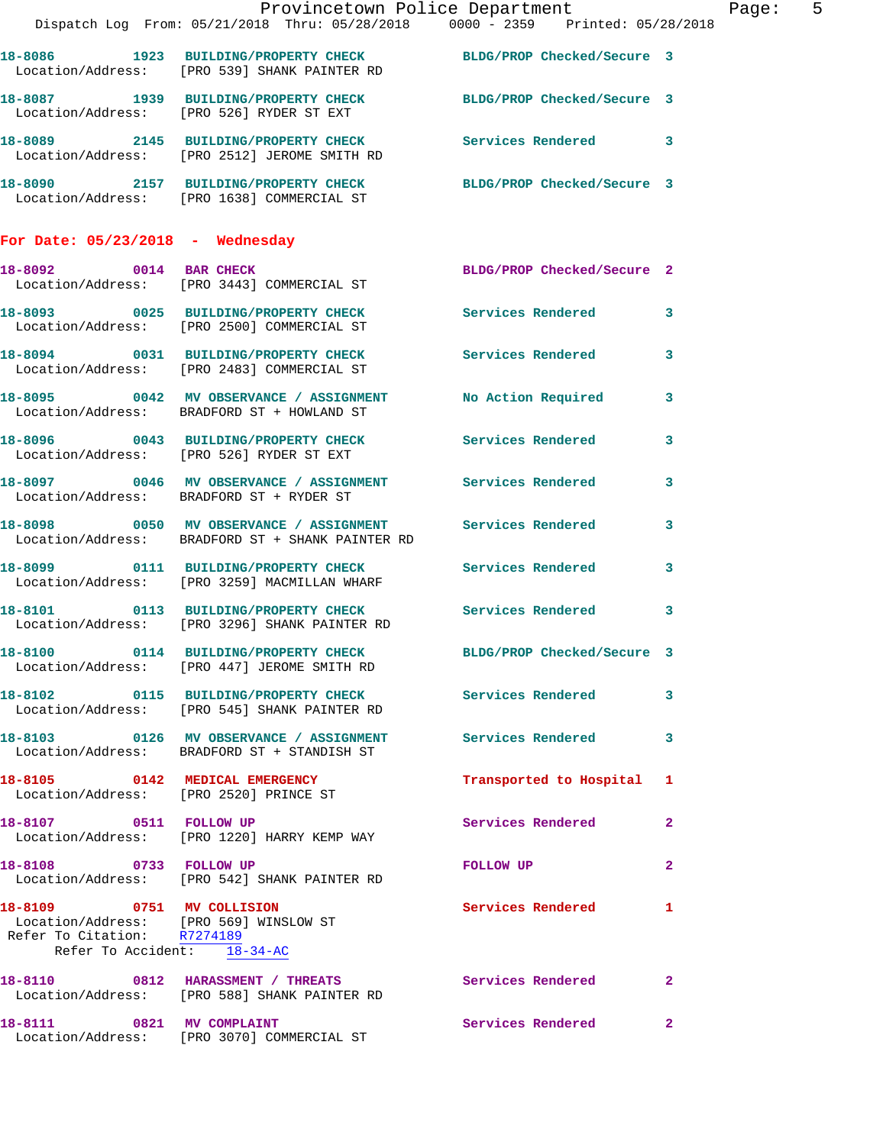|                                                                                                      | Provincetown Police Department<br>Dispatch Log From: 05/21/2018 Thru: 05/28/2018 0000 - 2359 Printed: 05/28/2018 |                            | Page: 5      |
|------------------------------------------------------------------------------------------------------|------------------------------------------------------------------------------------------------------------------|----------------------------|--------------|
|                                                                                                      |                                                                                                                  |                            |              |
|                                                                                                      | 18-8086 1923 BUILDING/PROPERTY CHECK BLDG/PROP Checked/Secure 3<br>Location/Address: [PRO 539] SHANK PAINTER RD  |                            |              |
|                                                                                                      | 18-8087 1939 BUILDING/PROPERTY CHECK BLDG/PROP Checked/Secure 3<br>Location/Address: [PRO 526] RYDER ST EXT      |                            |              |
|                                                                                                      | 18-8089 2145 BUILDING/PROPERTY CHECK Services Rendered 3<br>Location/Address: [PRO 2512] JEROME SMITH RD         |                            |              |
|                                                                                                      | 18-8090 2157 BUILDING/PROPERTY CHECK BLDG/PROP Checked/Secure 3<br>Location/Address: [PRO 1638] COMMERCIAL ST    |                            |              |
| For Date: 05/23/2018 - Wednesday                                                                     |                                                                                                                  |                            |              |
|                                                                                                      | 18-8092 0014 BAR CHECK BLDG/PROP Checked/Secure 2<br>Location/Address: [PRO 3443] COMMERCIAL ST                  |                            |              |
|                                                                                                      | 18-8093 0025 BUILDING/PROPERTY CHECK Services Rendered 3<br>Location/Address: [PRO 2500] COMMERCIAL ST           |                            |              |
|                                                                                                      | 18-8094 0031 BUILDING/PROPERTY CHECK Services Rendered 3<br>Location/Address: [PRO 2483] COMMERCIAL ST           |                            |              |
|                                                                                                      | 18-8095 0042 MV OBSERVANCE / ASSIGNMENT No Action Required 3<br>Location/Address: BRADFORD ST + HOWLAND ST       |                            |              |
|                                                                                                      | 18-8096 0043 BUILDING/PROPERTY CHECK Services Rendered 3<br>Location/Address: [PRO 526] RYDER ST EXT             |                            |              |
|                                                                                                      | 18-8097 0046 MV OBSERVANCE / ASSIGNMENT Services Rendered 3<br>Location/Address: BRADFORD ST + RYDER ST          |                            |              |
|                                                                                                      | 18-8098 0050 MV OBSERVANCE / ASSIGNMENT Services Rendered<br>Location/Address: BRADFORD ST + SHANK PAINTER RD    |                            | $\mathbf{3}$ |
|                                                                                                      | 18-8099   0111 BUILDING/PROPERTY CHECK   Services Rendered   3<br>Location/Address: [PRO 3259] MACMILLAN WHARF   |                            |              |
|                                                                                                      | 18-8101 0113 BUILDING/PROPERTY CHECK Services Rendered 3<br>Location/Address: [PRO 3296] SHANK PAINTER RD        |                            |              |
|                                                                                                      | 18-8100 0114 BUILDING/PROPERTY CHECK<br>Location/Address: [PRO 447] JEROME SMITH RD                              | BLDG/PROP Checked/Secure 3 |              |
|                                                                                                      | 18-8102  0115 BUILDING/PROPERTY CHECK Services Rendered 3<br>Location/Address: [PRO 545] SHANK PAINTER RD        |                            |              |
|                                                                                                      | 18-8103  0126 MV OBSERVANCE / ASSIGNMENT Services Rendered 3<br>Location/Address: BRADFORD ST + STANDISH ST      |                            |              |
|                                                                                                      | 18-8105 0142 MEDICAL EMERGENCY<br>Location/Address: [PRO 2520] PRINCE ST                                         | Transported to Hospital 1  |              |
|                                                                                                      | 18-8107 0511 FOLLOW UP<br>Location/Address: [PRO 1220] HARRY KEMP WAY                                            | Services Rendered          | $\mathbf{2}$ |
| 18-8108 0733 FOLLOW UP                                                                               | Location/Address: [PRO 542] SHANK PAINTER RD                                                                     | <b>FOLLOW UP</b>           | $\mathbf{2}$ |
| Location/Address: [PRO 569] WINSLOW ST<br>Refer To Citation: R7274189<br>Refer To Accident: 18-34-AC | 18-8109 0751 MV COLLISION                                                                                        | Services Rendered          | 1            |
|                                                                                                      | 18-8110 0812 HARASSMENT / THREATS Services Rendered 2<br>Location/Address: [PRO 588] SHANK PAINTER RD            |                            |              |
| 18-8111 0821 MV COMPLAINT                                                                            | Location/Address: [PRO 3070] COMMERCIAL ST                                                                       | Services Rendered 2        |              |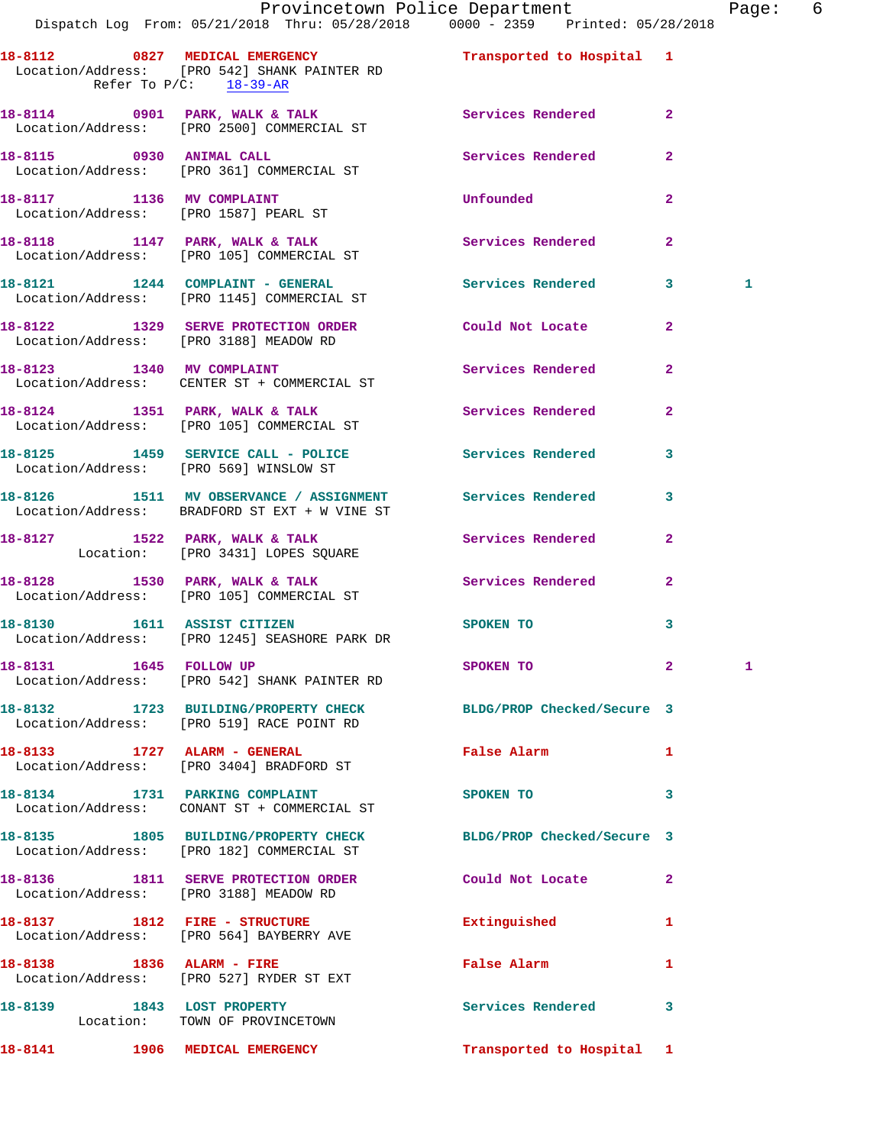|                                        | Provincetown Police Department Page: 6<br>Dispatch Log From: 05/21/2018 Thru: 05/28/2018  0000 - 2359  Printed: 05/28/2018 |                           |                |   |  |
|----------------------------------------|----------------------------------------------------------------------------------------------------------------------------|---------------------------|----------------|---|--|
| Refer To $P/C$ : 18-39-AR              | 18-8112 0827 MEDICAL EMERGENCY Transported to Hospital 1<br>Location/Address: [PRO 542] SHANK PAINTER RD                   |                           |                |   |  |
|                                        | 18-8114 0901 PARK, WALK & TALK 3 Services Rendered 2<br>Location/Address: [PRO 2500] COMMERCIAL ST                         |                           |                |   |  |
|                                        |                                                                                                                            | Services Rendered 2       |                |   |  |
|                                        | 18-8117 1136 MV COMPLAINT<br>Location/Address: [PRO 1587] PEARL ST                                                         | <b>Unfounded</b>          | $\mathbf{2}$   |   |  |
|                                        | 18-8118 1147 PARK, WALK & TALK<br>Location/Address: [PRO 105] COMMERCIAL ST                                                | Services Rendered         | $\mathbf{2}$   |   |  |
|                                        | 18-8121 1244 COMPLAINT - GENERAL Services Rendered 3<br>Location/Address: [PRO 1145] COMMERCIAL ST                         |                           |                | 1 |  |
|                                        | 18-8122 1329 SERVE PROTECTION ORDER Could Not Locate 2<br>Location/Address: [PRO 3188] MEADOW RD                           |                           |                |   |  |
|                                        | 18-8123 1340 MV COMPLAINT<br>Location/Address: CENTER ST + COMMERCIAL ST                                                   | Services Rendered         | $\mathbf{2}$   |   |  |
|                                        | 18-8124 1351 PARK, WALK & TALK 1998 Services Rendered 2<br>Location/Address: [PRO 105] COMMERCIAL ST                       |                           |                |   |  |
|                                        | 18-8125 1459 SERVICE CALL - POLICE 3 Services Rendered 3<br>Location/Address: [PRO 569] WINSLOW ST                         |                           |                |   |  |
|                                        | 18-8126 1511 MV OBSERVANCE / ASSIGNMENT Services Rendered 3<br>Location/Address: BRADFORD ST EXT + W VINE ST               |                           |                |   |  |
|                                        | 18-8127 1522 PARK, WALK & TALK (Services Rendered Location: [PRO 3431] LOPES SQUARE                                        |                           | $\mathbf{2}$   |   |  |
|                                        | 18-8128 1530 PARK, WALK & TALK 1988 Services Rendered<br>Location/Address: [PRO 105] COMMERCIAL ST                         |                           | $\mathbf{2}$   |   |  |
|                                        | 18-8130 1611 ASSIST CITIZEN<br>Location/Address: [PRO 1245] SEASHORE PARK DR                                               | SPOKEN TO                 | 3              |   |  |
|                                        | Location/Address: [PRO 542] SHANK PAINTER RD                                                                               | SPOKEN TO                 | $2 \leftarrow$ | 1 |  |
|                                        | 18-8132 1723 BUILDING/PROPERTY CHECK BLDG/PROP Checked/Secure 3<br>Location/Address: [PRO 519] RACE POINT RD               |                           |                |   |  |
|                                        | 18-8133 1727 ALARM - GENERAL<br>Location/Address: [PRO 3404] BRADFORD ST                                                   | False Alarm               |                |   |  |
|                                        | 18-8134 1731 PARKING COMPLAINT<br>Location/Address: CONANT ST + COMMERCIAL ST                                              | SPOKEN TO                 | 3              |   |  |
|                                        | 18-8135 1805 BUILDING/PROPERTY CHECK BLDG/PROP Checked/Secure 3<br>Location/Address: [PRO 182] COMMERCIAL ST               |                           |                |   |  |
| Location/Address: [PRO 3188] MEADOW RD | 18-8136 1811 SERVE PROTECTION ORDER Could Not Locate                                                                       |                           | $\mathbf{2}$   |   |  |
|                                        | 18-8137 1812 FIRE - STRUCTURE<br>Location/Address: [PRO 564] BAYBERRY AVE                                                  | Extinguished              | 1              |   |  |
|                                        | 18-8138 1836 ALARM - FIRE<br>Location/Address: [PRO 527] RYDER ST EXT                                                      | False Alarm               | 1              |   |  |
| 18-8139 1843 LOST PROPERTY             | Location: TOWN OF PROVINCETOWN                                                                                             | Services Rendered 3       |                |   |  |
| 18-8141 1906 MEDICAL EMERGENCY         |                                                                                                                            | Transported to Hospital 1 |                |   |  |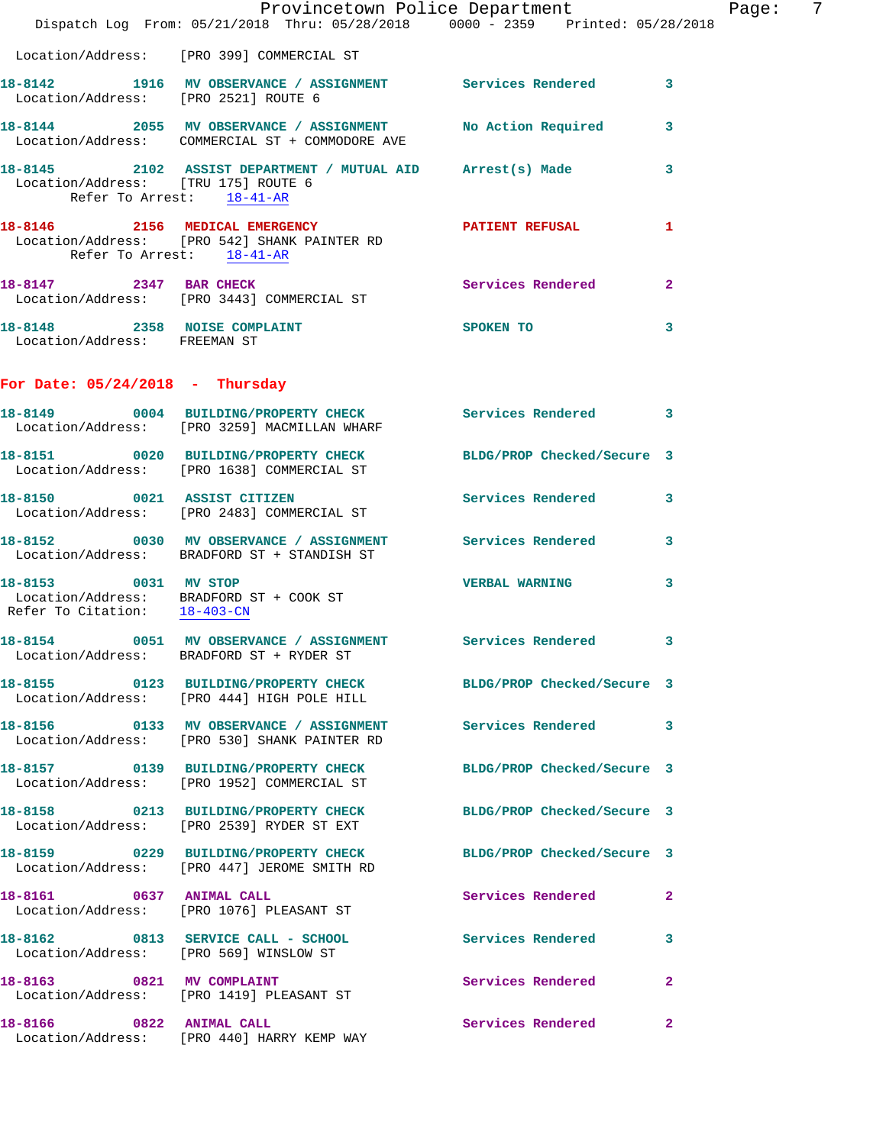|                                                      | Dispatch Log From: 05/21/2018 Thru: 05/28/2018 0000 - 2359 Printed: 05/28/2018                                    | Provincetown Police Department |              | Page: | 7 |
|------------------------------------------------------|-------------------------------------------------------------------------------------------------------------------|--------------------------------|--------------|-------|---|
|                                                      | Location/Address: [PRO 399] COMMERCIAL ST                                                                         |                                |              |       |   |
| Location/Address: [PRO 2521] ROUTE 6                 | 18-8142 1916 MV OBSERVANCE / ASSIGNMENT Services Rendered 3                                                       |                                |              |       |   |
|                                                      | 18-8144 2055 MV OBSERVANCE / ASSIGNMENT<br>Location/Address: COMMERCIAL ST + COMMODORE AVE                        | <b>No Action Required</b>      | $\mathbf{3}$ |       |   |
| Location/Address: [TRU 175] ROUTE 6                  | 18-8145 2102 ASSIST DEPARTMENT / MUTUAL AID Arrest(s) Made<br>Refer To Arrest: 18-41-AR                           |                                | $\mathbf{3}$ |       |   |
|                                                      | 18-8146 2156 MEDICAL EMERGENCY<br>Location/Address: [PRO 542] SHANK PAINTER RD<br>Refer To Arrest: 18-41-AR       | <b>PATIENT REFUSAL</b>         | 1            |       |   |
| 18-8147 2347 BAR CHECK                               | Location/Address: [PRO 3443] COMMERCIAL ST                                                                        | Services Rendered              | $\mathbf{2}$ |       |   |
| Location/Address: FREEMAN ST                         | 18-8148 2358 NOISE COMPLAINT                                                                                      | <b>SPOKEN TO</b>               | 3            |       |   |
| For Date: $05/24/2018$ - Thursday                    |                                                                                                                   |                                |              |       |   |
|                                                      | 18-8149 0004 BUILDING/PROPERTY CHECK Services Rendered 3<br>Location/Address: [PRO 3259] MACMILLAN WHARF          |                                |              |       |   |
|                                                      | 18-8151 0020 BUILDING/PROPERTY CHECK<br>Location/Address: [PRO 1638] COMMERCIAL ST                                | BLDG/PROP Checked/Secure 3     |              |       |   |
| 18-8150 0021 ASSIST CITIZEN                          | Location/Address: [PRO 2483] COMMERCIAL ST                                                                        | Services Rendered 3            |              |       |   |
|                                                      | 18-8152 0030 MV OBSERVANCE / ASSIGNMENT Services Rendered<br>Location/Address: BRADFORD ST + STANDISH ST          |                                | 3            |       |   |
| 18-8153 0031 MV STOP<br>Refer To Citation: 18-403-CN | Location/Address: BRADFORD ST + COOK ST                                                                           | <b>VERBAL WARNING</b>          | 3            |       |   |
| Location/Address:                                    | 18-8154 0051 MV OBSERVANCE / ASSIGNMENT Services Rendered 3<br>BRADFORD ST + RYDER ST                             |                                |              |       |   |
|                                                      | 18-8155 0123 BUILDING/PROPERTY CHECK BLDG/PROP Checked/Secure 3<br>Location/Address: [PRO 444] HIGH POLE HILL     |                                |              |       |   |
|                                                      | 18-8156   0133 MV OBSERVANCE / ASSIGNMENT   Services Rendered   3<br>Location/Address: [PRO 530] SHANK PAINTER RD |                                |              |       |   |
|                                                      | 18-8157 0139 BUILDING/PROPERTY CHECK<br>Location/Address: [PRO 1952] COMMERCIAL ST                                | BLDG/PROP Checked/Secure 3     |              |       |   |
|                                                      | 18-8158 0213 BUILDING/PROPERTY CHECK<br>Location/Address: [PRO 2539] RYDER ST EXT                                 | BLDG/PROP Checked/Secure 3     |              |       |   |
|                                                      | 18-8159 0229 BUILDING/PROPERTY CHECK<br>Location/Address: [PRO 447] JEROME SMITH RD                               | BLDG/PROP Checked/Secure 3     |              |       |   |
|                                                      | 18-8161 0637 ANIMAL CALL<br>Location/Address: [PRO 1076] PLEASANT ST                                              | Services Rendered              | $\mathbf{2}$ |       |   |
|                                                      | 18-8162 0813 SERVICE CALL - SCHOOL<br>Location/Address: [PRO 569] WINSLOW ST                                      | Services Rendered              | 3            |       |   |
|                                                      | 18-8163 0821 MV COMPLAINT<br>Location/Address: [PRO 1419] PLEASANT ST                                             | Services Rendered              | $\mathbf{2}$ |       |   |
| 18-8166 0822 ANIMAL CALL                             | Location/Address: [PRO 440] HARRY KEMP WAY                                                                        | <b>Services Rendered</b>       | $\mathbf{2}$ |       |   |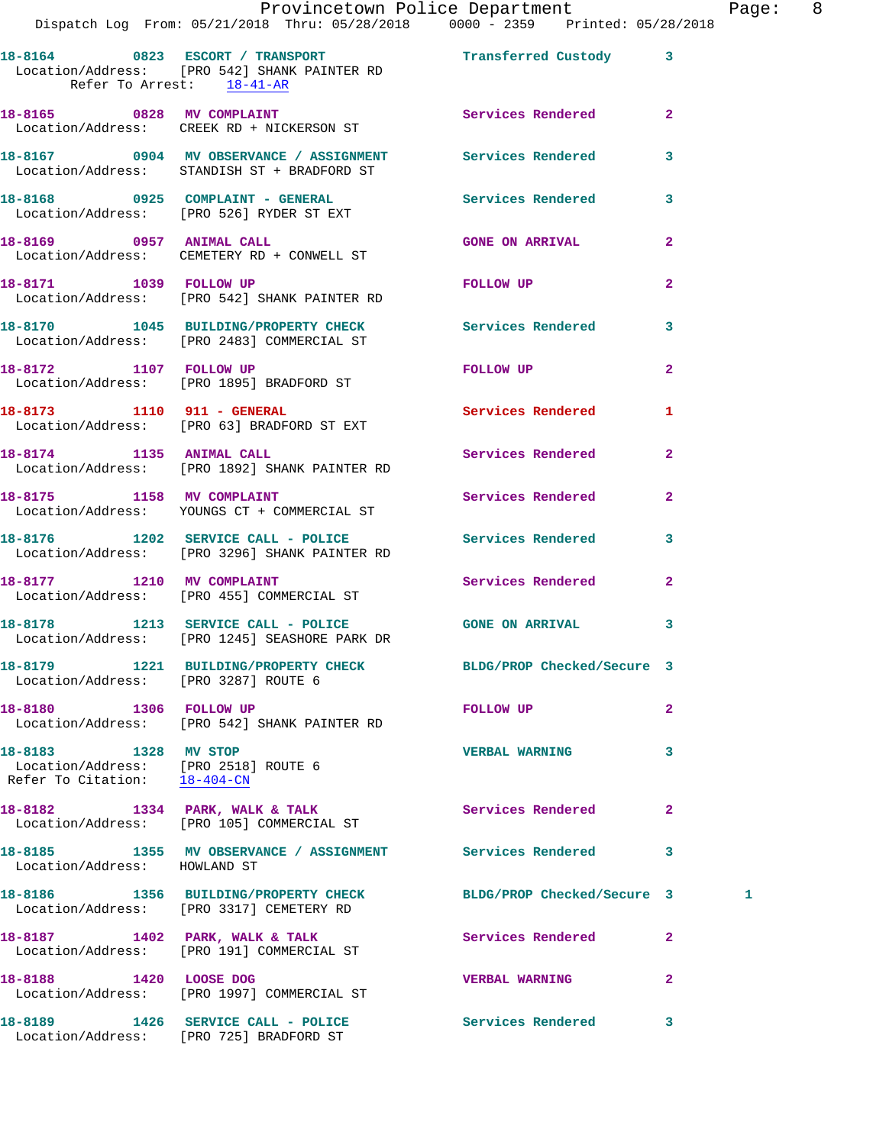|                                                                                              | Provincetown Police Department<br>Dispatch Log From: 05/21/2018 Thru: 05/28/2018  0000 - 2359  Printed: 05/28/2018 |                                                                                                                                                                                                                                |              | Page: 8 |  |
|----------------------------------------------------------------------------------------------|--------------------------------------------------------------------------------------------------------------------|--------------------------------------------------------------------------------------------------------------------------------------------------------------------------------------------------------------------------------|--------------|---------|--|
| Refer To Arrest: 18-41-AR                                                                    | 18-8164 0823 ESCORT / TRANSPORT Transferred Custody 3<br>Location/Address: [PRO 542] SHANK PAINTER RD              |                                                                                                                                                                                                                                |              |         |  |
|                                                                                              | 18-8165 0828 MV COMPLAINT<br>Location/Address: CREEK RD + NICKERSON ST                                             | Services Rendered 2                                                                                                                                                                                                            |              |         |  |
|                                                                                              | 18-8167 0904 MV OBSERVANCE / ASSIGNMENT Services Rendered 3<br>Location/Address: STANDISH ST + BRADFORD ST         |                                                                                                                                                                                                                                |              |         |  |
|                                                                                              | 18-8168 0925 COMPLAINT - GENERAL Services Rendered 3<br>Location/Address: [PRO 526] RYDER ST EXT                   |                                                                                                                                                                                                                                |              |         |  |
|                                                                                              | 18-8169 0957 ANIMAL CALL<br>Location/Address: CEMETERY RD + CONWELL ST                                             | <b>GONE ON ARRIVAL</b>                                                                                                                                                                                                         | $\mathbf{2}$ |         |  |
| 18-8171 1039 FOLLOW UP                                                                       | Location/Address: [PRO 542] SHANK PAINTER RD                                                                       | FOLLOW UP THE TRANSPORTED TO A THE TRANSPORTED TO A THE TRANSPORTED TO A THE TRANSPORTED TO A THE TRANSPORTED TO A THE TRANSPORTED TO A THE TRANSPORTED TO A THE TRANSPORTED TO A THE TRANSPORTED TO A THE TRANSPORTED TO A TH | $\mathbf{2}$ |         |  |
|                                                                                              | 18-8170 1045 BUILDING/PROPERTY CHECK Services Rendered 3<br>Location/Address: [PRO 2483] COMMERCIAL ST             |                                                                                                                                                                                                                                |              |         |  |
|                                                                                              | 18-8172 1107 FOLLOW UP<br>Location/Address: [PRO 1895] BRADFORD ST                                                 | FOLLOW UP                                                                                                                                                                                                                      | $\mathbf{2}$ |         |  |
|                                                                                              | 18-8173 1110 911 - GENERAL<br>Location/Address: [PRO 63] BRADFORD ST EXT                                           | Services Rendered 1                                                                                                                                                                                                            |              |         |  |
|                                                                                              | 18-8174 1135 ANIMAL CALL<br>Location/Address: [PRO 1892] SHANK PAINTER RD                                          | Services Rendered                                                                                                                                                                                                              | $\mathbf{2}$ |         |  |
|                                                                                              | 18-8175 1158 MV COMPLAINT<br>Location/Address: YOUNGS CT + COMMERCIAL ST                                           | Services Rendered 2                                                                                                                                                                                                            |              |         |  |
|                                                                                              | 18-8176 1202 SERVICE CALL - POLICE 3 Services Rendered<br>Location/Address: [PRO 3296] SHANK PAINTER RD            |                                                                                                                                                                                                                                | $\mathbf{3}$ |         |  |
|                                                                                              | 18-8177 1210 MV COMPLAINT<br>Location/Address: [PRO 455] COMMERCIAL ST                                             | Services Rendered 2                                                                                                                                                                                                            |              |         |  |
|                                                                                              | 18-8178 1213 SERVICE CALL - POLICE 60NE ON ARRIVAL<br>Location/Address: [PRO 1245] SEASHORE PARK DR                |                                                                                                                                                                                                                                | 3            |         |  |
| Location/Address: [PRO 3287] ROUTE 6                                                         | 18-8179 1221 BUILDING/PROPERTY CHECK BLDG/PROP Checked/Secure 3                                                    |                                                                                                                                                                                                                                |              |         |  |
| 18-8180 1306 FOLLOW UP                                                                       | Location/Address: [PRO 542] SHANK PAINTER RD                                                                       | <b>FOLLOW UP</b>                                                                                                                                                                                                               | $\mathbf{2}$ |         |  |
| 18-8183 1328 MV STOP<br>Location/Address: [PRO 2518] ROUTE 6<br>Refer To Citation: 18-404-CN |                                                                                                                    | <b>VERBAL WARNING</b>                                                                                                                                                                                                          | 3            |         |  |
|                                                                                              | 18-8182 1334 PARK, WALK & TALK<br>Location/Address: [PRO 105] COMMERCIAL ST                                        | <b>Services Rendered</b>                                                                                                                                                                                                       | $\mathbf{2}$ |         |  |
| Location/Address: HOWLAND ST                                                                 | 18-8185 1355 MV OBSERVANCE / ASSIGNMENT Services Rendered 3                                                        |                                                                                                                                                                                                                                |              |         |  |
|                                                                                              | 18-8186 1356 BUILDING/PROPERTY CHECK<br>Location/Address: [PRO 3317] CEMETERY RD                                   | BLDG/PROP Checked/Secure 3                                                                                                                                                                                                     |              | 1       |  |
|                                                                                              | 18-8187 1402 PARK, WALK & TALK<br>Location/Address: [PRO 191] COMMERCIAL ST                                        | Services Rendered 2                                                                                                                                                                                                            |              |         |  |
|                                                                                              | 18-8188 1420 LOOSE DOG<br>Location/Address: [PRO 1997] COMMERCIAL ST                                               | <b>VERBAL WARNING</b>                                                                                                                                                                                                          | $\mathbf{2}$ |         |  |
|                                                                                              | 18-8189 1426 SERVICE CALL - POLICE National Services Rendered 3                                                    |                                                                                                                                                                                                                                |              |         |  |

Location/Address: [PRO 725] BRADFORD ST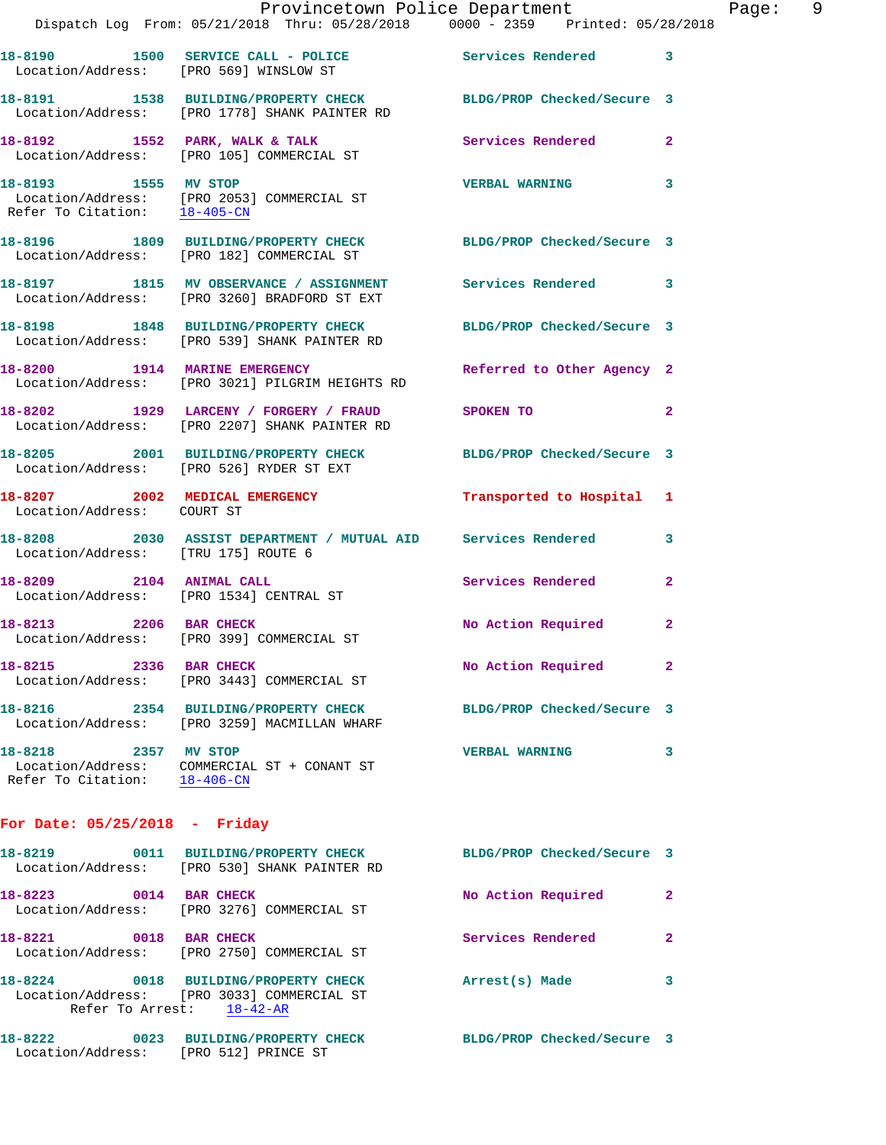|                                                                 | Provincetown Police Department                                                                                   |                            | Page: 9      |
|-----------------------------------------------------------------|------------------------------------------------------------------------------------------------------------------|----------------------------|--------------|
|                                                                 | Dispatch Log From: 05/21/2018 Thru: 05/28/2018   0000 - 2359   Printed: 05/28/2018                               |                            |              |
|                                                                 | 18-8190 1500 SERVICE CALL - POLICE 2007 Services Rendered 3<br>Location/Address: [PRO 569] WINSLOW ST            |                            |              |
|                                                                 | 18-8191 1538 BUILDING/PROPERTY CHECK BLDG/PROP Checked/Secure 3<br>Location/Address: [PRO 1778] SHANK PAINTER RD |                            |              |
|                                                                 | 18-8192 1552 PARK, WALK & TALK 1988 Services Rendered 2<br>Location/Address: [PRO 105] COMMERCIAL ST             |                            |              |
|                                                                 | 18-8193 1555 MV STOP<br>Location/Address: [PRO 2053] COMMERCIAL ST<br>Refer To Citation: 18-405-CM               | <b>VERBAL WARNING</b>      | 3            |
|                                                                 | 18-8196 1809 BUILDING/PROPERTY CHECK BLDG/PROP Checked/Secure 3<br>Location/Address: [PRO 182] COMMERCIAL ST     |                            |              |
|                                                                 | 18-8197 1815 MV OBSERVANCE / ASSIGNMENT Services Rendered 3<br>Location/Address: [PRO 3260] BRADFORD ST EXT      |                            |              |
|                                                                 | 18-8198 1848 BUILDING/PROPERTY CHECK BLDG/PROP Checked/Secure 3<br>Location/Address: [PRO 539] SHANK PAINTER RD  |                            |              |
|                                                                 | 18-8200 1914 MARINE EMERGENCY<br>Location/Address: [PRO 3021] PILGRIM HEIGHTS RD                                 | Referred to Other Agency 2 |              |
|                                                                 | 18-8202 1929 LARCENY / FORGERY / FRAUD SPOKEN TO<br>Location/Address: [PRO 2207] SHANK PAINTER RD                |                            | $\mathbf{2}$ |
|                                                                 | 18-8205 2001 BUILDING/PROPERTY CHECK BLDG/PROP Checked/Secure 3<br>Location/Address: [PRO 526] RYDER ST EXT      |                            |              |
| Location/Address: COURT ST                                      | 18-8207 2002 MEDICAL EMERGENCY                                                                                   | Transported to Hospital 1  |              |
| Location/Address: [TRU 175] ROUTE 6                             | 18-8208 2030 ASSIST DEPARTMENT / MUTUAL AID Services Rendered                                                    |                            | 3            |
|                                                                 | 18-8209 2104 ANIMAL CALL<br>Location/Address: [PRO 1534] CENTRAL ST                                              | Services Rendered          | $\mathbf{2}$ |
| 18-8213 2206 BAR CHECK                                          | Location/Address: [PRO 399] COMMERCIAL ST                                                                        | No Action Required 2       |              |
| 18-8215                                                         | 2336 BAR CHECK<br>Location/Address: [PRO 3443] COMMERCIAL ST                                                     | No Action Required         | 2            |
| 18-8216                                                         | 2354 BUILDING/PROPERTY CHECK<br>Location/Address: [PRO 3259] MACMILLAN WHARF                                     | BLDG/PROP Checked/Secure 3 |              |
| 18-8218 2357 MV STOP<br>Location/Address:<br>Refer To Citation: | COMMERCIAL ST + CONANT ST<br>$18 - 406 - CN$                                                                     | <b>VERBAL WARNING</b>      | 3            |
|                                                                 |                                                                                                                  |                            |              |

## **For Date: 05/25/2018 - Friday**

| 18-8219                              | 0011 BUILDING/PROPERTY CHECK<br>Location/Address: [PRO 530] SHANK PAINTER RD           | BLDG/PROP Checked/Secure 3 |              |
|--------------------------------------|----------------------------------------------------------------------------------------|----------------------------|--------------|
| 18-8223<br>0014<br>Location/Address: | <b>BAR CHECK</b><br>[PRO 3276] COMMERCIAL ST                                           | No Action Required         | $\mathbf{2}$ |
| 18-8221<br>0018                      | <b>BAR CHECK</b><br>Location/Address: [PRO 2750] COMMERCIAL ST                         | Services Rendered          | 2            |
| 18-8224<br>Refer To Arrest:          | 0018 BUILDING/PROPERTY CHECK<br>Location/Address: [PRO 3033] COMMERCIAL ST<br>18-42-AR | Arrest(s) Made             | 3            |
| 18-8222<br>0023<br>Location/Address: | <b>BUILDING/PROPERTY CHECK</b><br>FRO 5121 PRINCE ST                                   | BLDG/PROP Checked/Secure 3 |              |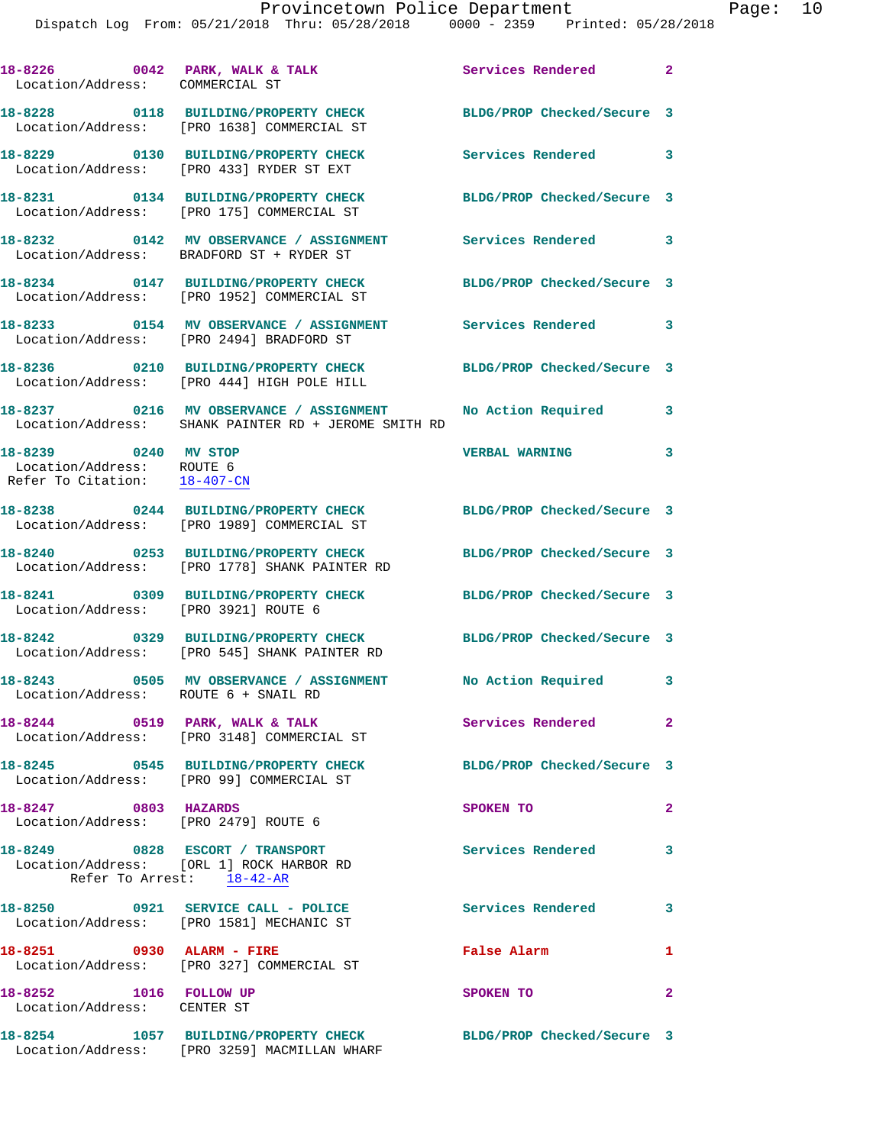Dispatch Log From: 05/21/2018 Thru: 05/28/2018 0000 - 2359 Printed: 05/28/2018

| 18-8226 0042 PARK, WALK & TALK<br>Location/Address: COMMERCIAL ST |                                                                                                                    | Services Rendered 2        |                         |
|-------------------------------------------------------------------|--------------------------------------------------------------------------------------------------------------------|----------------------------|-------------------------|
|                                                                   | 18-8228 0118 BUILDING/PROPERTY CHECK<br>Location/Address: [PRO 1638] COMMERCIAL ST                                 | BLDG/PROP Checked/Secure 3 |                         |
|                                                                   | 18-8229 0130 BUILDING/PROPERTY CHECK<br>Location/Address: [PRO 433] RYDER ST EXT                                   | Services Rendered 3        |                         |
|                                                                   | 18-8231 0134 BUILDING/PROPERTY CHECK<br>Location/Address: [PRO 175] COMMERCIAL ST                                  | BLDG/PROP Checked/Secure 3 |                         |
|                                                                   | 18-8232 0142 MV OBSERVANCE / ASSIGNMENT<br>Location/Address: BRADFORD ST + RYDER ST                                | <b>Services Rendered</b> 3 |                         |
|                                                                   | 18-8234 0147 BUILDING/PROPERTY CHECK<br>Location/Address: [PRO 1952] COMMERCIAL ST                                 | BLDG/PROP Checked/Secure 3 |                         |
|                                                                   | 18-8233   0154 MV OBSERVANCE / ASSIGNMENT   Services Rendered<br>Location/Address: [PRO 2494] BRADFORD ST          |                            | 3                       |
|                                                                   | 18-8236 0210 BUILDING/PROPERTY CHECK BLDG/PROP Checked/Secure 3<br>Location/Address: [PRO 444] HIGH POLE HILL      |                            |                         |
|                                                                   | 18-8237 0216 MV OBSERVANCE / ASSIGNMENT No Action Required<br>Location/Address: SHANK PAINTER RD + JEROME SMITH RD |                            | 3                       |
| 18-8239 0240 MV STOP<br>Location/Address: ROUTE 6                 |                                                                                                                    | <b>VERBAL WARNING</b>      | 3                       |
| Refer To Citation: 18-407-CN                                      | 18-8238 0244 BUILDING/PROPERTY CHECK                                                                               | BLDG/PROP Checked/Secure 3 |                         |
|                                                                   | Location/Address: [PRO 1989] COMMERCIAL ST                                                                         |                            |                         |
|                                                                   | 18-8240 0253 BUILDING/PROPERTY CHECK<br>Location/Address: [PRO 1778] SHANK PAINTER RD                              | BLDG/PROP Checked/Secure 3 |                         |
| Location/Address: [PRO 3921] ROUTE 6                              | 18-8241 0309 BUILDING/PROPERTY CHECK                                                                               | BLDG/PROP Checked/Secure 3 |                         |
|                                                                   | 18-8242 0329 BUILDING/PROPERTY CHECK<br>Location/Address: [PRO 545] SHANK PAINTER RD                               | BLDG/PROP Checked/Secure 3 |                         |
| 18-8243<br>Location/Address: ROUTE 6 + SNAIL RD                   | 0505 MV OBSERVANCE / ASSIGNMENT No Action Required 3                                                               |                            |                         |
|                                                                   | 18-8244 0519 PARK, WALK & TALK<br>Location/Address: [PRO 3148] COMMERCIAL ST                                       | <b>Services Rendered</b> 2 |                         |
|                                                                   | 18-8245 0545 BUILDING/PROPERTY CHECK<br>Location/Address: [PRO 99] COMMERCIAL ST                                   | BLDG/PROP Checked/Secure 3 |                         |
| 18-8247 0803 HAZARDS                                              | Location/Address: [PRO 2479] ROUTE 6                                                                               | SPOKEN TO                  | $\mathbf{2}$            |
|                                                                   | 18-8249 0828 ESCORT / TRANSPORT<br>Location/Address: [ORL 1] ROCK HARBOR RD<br>Refer To Arrest: 18-42-AR           | <b>Services Rendered</b>   | 3                       |
|                                                                   | 18-8250 0921 SERVICE CALL - POLICE<br>Location/Address: [PRO 1581] MECHANIC ST                                     | <b>Services Rendered</b>   | $\overline{\mathbf{3}}$ |
| 18-8251 0930 ALARM - FIRE                                         | Location/Address: [PRO 327] COMMERCIAL ST                                                                          | False Alarm                | $\mathbf{1}$            |
| 18-8252 1016 FOLLOW UP<br>Location/Address: CENTER ST             |                                                                                                                    | SPOKEN TO                  | $\mathbf{2}$            |
|                                                                   | 18-8254 1057 BUILDING/PROPERTY CHECK BLDG/PROP Checked/Secure 3<br>Location/Address: [PRO 3259] MACMILLAN WHARF    |                            |                         |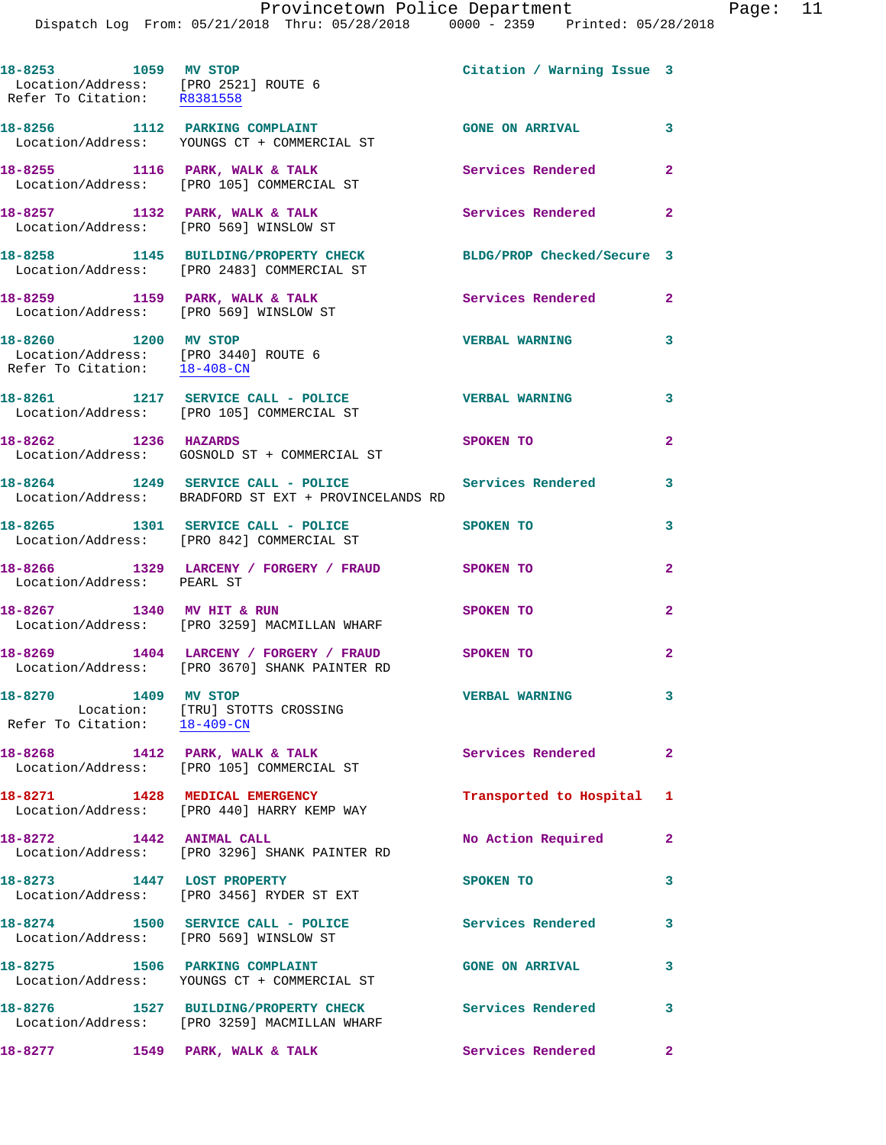| 18-8253 1059 MV STOP<br>Location/Address: [PRO 2521] ROUTE 6<br>Refer To Citation: R8381558  |                                                                                                                | Citation / Warning Issue 3 |                         |
|----------------------------------------------------------------------------------------------|----------------------------------------------------------------------------------------------------------------|----------------------------|-------------------------|
|                                                                                              | 18-8256 1112 PARKING COMPLAINT<br>Location/Address: YOUNGS CT + COMMERCIAL ST                                  | GONE ON ARRIVAL 3          |                         |
|                                                                                              | 18-8255 1116 PARK, WALK & TALK<br>Location/Address: [PRO 105] COMMERCIAL ST                                    | <b>Services Rendered</b>   | $\mathbf{2}$            |
|                                                                                              | 18-8257 1132 PARK, WALK & TALK<br>Location/Address: [PRO 569] WINSLOW ST                                       | Services Rendered 2        |                         |
|                                                                                              | 18-8258 1145 BUILDING/PROPERTY CHECK<br>Location/Address: [PRO 2483] COMMERCIAL ST                             | BLDG/PROP Checked/Secure 3 |                         |
|                                                                                              | 18-8259 1159 PARK, WALK & TALK<br>Location/Address: [PRO 569] WINSLOW ST                                       | Services Rendered 2        |                         |
| 18-8260 1200 MV STOP<br>Location/Address: [PRO 3440] ROUTE 6<br>Refer To Citation: 18-408-CN |                                                                                                                | <b>VERBAL WARNING</b>      | 3                       |
|                                                                                              | 18-8261 1217 SERVICE CALL - POLICE<br>Location/Address: [PRO 105] COMMERCIAL ST                                | <b>VERBAL WARNING</b>      | $\overline{\mathbf{3}}$ |
| 18-8262 1236 HAZARDS                                                                         | Location/Address: GOSNOLD ST + COMMERCIAL ST                                                                   | <b>SPOKEN TO</b>           | $\mathbf{2}$            |
|                                                                                              | 18-8264 1249 SERVICE CALL - POLICE 3 Services Rendered<br>Location/Address: BRADFORD ST EXT + PROVINCELANDS RD |                            | 3                       |
|                                                                                              | 18-8265 1301 SERVICE CALL - POLICE<br>Location/Address: [PRO 842] COMMERCIAL ST                                | SPOKEN TO                  | 3                       |
| Location/Address: PEARL ST                                                                   | 18-8266 1329 LARCENY / FORGERY / FRAUD SPOKEN TO                                                               |                            | $\overline{2}$          |
| 18-8267 1340 MV HIT & RUN                                                                    | Location/Address: [PRO 3259] MACMILLAN WHARF                                                                   | SPOKEN TO                  | $\overline{a}$          |
|                                                                                              | 18-8269 1404 LARCENY / FORGERY / FRAUD SPOKEN TO<br>Location/Address: [PRO 3670] SHANK PAINTER RD              |                            | $\mathbf{2}$            |
| 18-8270 1409 MV STOP                                                                         | Location: [TRU] STOTTS CROSSING<br>Refer To Citation: $\frac{18-409-CN}{\pi}$                                  | <b>VERBAL WARNING</b>      | $\mathbf{3}$            |
|                                                                                              | 18-8268 1412 PARK, WALK & TALK<br>Location/Address: [PRO 105] COMMERCIAL ST                                    | <b>Services Rendered</b> 2 |                         |
|                                                                                              | 18-8271 1428 MEDICAL EMERGENCY<br>Location/Address: [PRO 440] HARRY KEMP WAY                                   | Transported to Hospital 1  |                         |
| 18-8272 1442 ANIMAL CALL                                                                     | Location/Address: [PRO 3296] SHANK PAINTER RD                                                                  | No Action Required         | $\mathbf{2}$            |
| 18-8273 1447 LOST PROPERTY                                                                   | Location/Address: [PRO 3456] RYDER ST EXT                                                                      | SPOKEN TO                  | 3                       |
| Location/Address: [PRO 569] WINSLOW ST                                                       | 18-8274 1500 SERVICE CALL - POLICE                                                                             | <b>Services Rendered</b>   | 3                       |
|                                                                                              | 18-8275 1506 PARKING COMPLAINT<br>Location/Address: YOUNGS CT + COMMERCIAL ST                                  | <b>GONE ON ARRIVAL</b>     | 3                       |
|                                                                                              | 18-8276 1527 BUILDING/PROPERTY CHECK<br>Location/Address: [PRO 3259] MACMILLAN WHARF                           | Services Rendered          | 3                       |
| 18-8277 1549 PARK, WALK & TALK                                                               |                                                                                                                | Services Rendered          | $\mathbf{2}$            |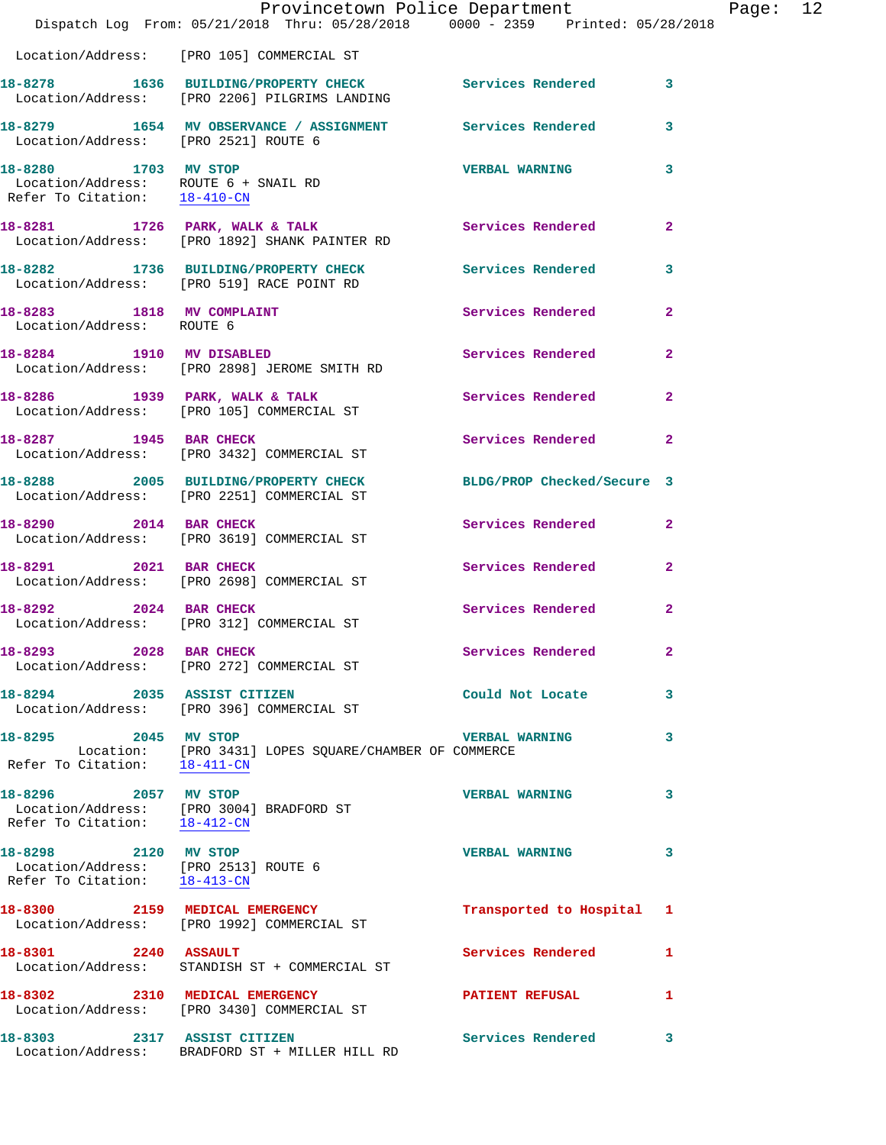|                                                                                              | Dispatch Log From: 05/21/2018 Thru: 05/28/2018 0000 - 2359 Printed: 05/28/2018                                                                                             | Provincetown Police Department |                | Page: 12 |  |
|----------------------------------------------------------------------------------------------|----------------------------------------------------------------------------------------------------------------------------------------------------------------------------|--------------------------------|----------------|----------|--|
|                                                                                              | Location/Address: [PRO 105] COMMERCIAL ST                                                                                                                                  |                                |                |          |  |
|                                                                                              | 18-8278 1636 BUILDING/PROPERTY CHECK Services Rendered 3<br>Location/Address: [PRO 2206] PILGRIMS LANDING                                                                  |                                |                |          |  |
| Location/Address: [PRO 2521] ROUTE 6                                                         | 18-8279 1654 MV OBSERVANCE / ASSIGNMENT Services Rendered                                                                                                                  |                                | $\mathbf{3}$   |          |  |
| 18-8280 1703 MV STOP                                                                         | Location/Address: ROUTE 6 + SNAIL RD<br>Refer To Citation: 18-410-CN                                                                                                       | <b>VERBAL WARNING</b>          | 3              |          |  |
|                                                                                              | 18-8281 1726 PARK, WALK & TALK<br>Location/Address: [PRO 1892] SHANK PAINTER RD                                                                                            | Services Rendered              | $\mathbf{2}$   |          |  |
|                                                                                              | 18-8282 1736 BUILDING/PROPERTY CHECK Services Rendered<br>Location/Address: [PRO 519] RACE POINT RD                                                                        |                                | 3              |          |  |
| Location/Address: ROUTE 6                                                                    | 18-8283 1818 MV COMPLAINT                                                                                                                                                  | Services Rendered              | $\overline{2}$ |          |  |
|                                                                                              | 18-8284 1910 MV DISABLED<br>Location/Address: [PRO 2898] JEROME SMITH RD                                                                                                   | Services Rendered              | $\mathbf{2}$   |          |  |
|                                                                                              | 18-8286 1939 PARK, WALK & TALK Services Rendered 2<br>Location/Address: [PRO 105] COMMERCIAL ST                                                                            |                                |                |          |  |
|                                                                                              | 18-8287 1945 BAR CHECK<br>Location/Address: [PRO 3432] COMMERCIAL ST                                                                                                       | Services Rendered              | $\mathbf{2}$   |          |  |
|                                                                                              | 18-8288 2005 BUILDING/PROPERTY CHECK BLDG/PROP Checked/Secure 3<br>Location/Address: [PRO 2251] COMMERCIAL ST                                                              |                                |                |          |  |
|                                                                                              | 18-8290 2014 BAR CHECK<br>Location/Address: [PRO 3619] COMMERCIAL ST                                                                                                       | Services Rendered              | $\mathbf{2}$   |          |  |
| 18-8291 2021 BAR CHECK                                                                       | Location/Address: [PRO 2698] COMMERCIAL ST                                                                                                                                 | Services Rendered 2            |                |          |  |
|                                                                                              | 18-8292 2024 BAR CHECK<br>Location/Address: [PRO 312] COMMERCIAL ST                                                                                                        | Services Rendered              | $\mathbf{2}$   |          |  |
|                                                                                              | 18-8293 2028 BAR CHECK<br>Location/Address: [PRO 272] COMMERCIAL ST                                                                                                        | Services Rendered              |                |          |  |
|                                                                                              | 18-8294 2035 ASSIST CITIZEN<br>Location/Address: [PRO 396] COMMERCIAL ST                                                                                                   | Could Not Locate               | 3              |          |  |
| 18-8295 2045 MV STOP                                                                         | $\begin{tabular}{ll} \textsc{Location:} & [PRO 3431] LOPES SQUARE/CHAMBER OF COMMERCE \end{tabular}$<br>Refer To Citation: $\begin{tabular}{ll} $18-411-CN$ \end{tabular}$ | <b>VERBAL WARNING</b>          | 3              |          |  |
| 18-8296 2057 MV STOP                                                                         | Location/Address: [PRO 3004] BRADFORD ST<br>Refer To Citation: $\frac{18-412-CN}{18-412-CN}$                                                                               | <b>VERBAL WARNING</b>          | 3              |          |  |
| 18-8298 2120 MV STOP<br>Location/Address: [PRO 2513] ROUTE 6<br>Refer To Citation: 18-413-CN |                                                                                                                                                                            | <b>VERBAL WARNING</b>          | 3              |          |  |
|                                                                                              | 18-8300 2159 MEDICAL EMERGENCY<br>Location/Address: [PRO 1992] COMMERCIAL ST                                                                                               | Transported to Hospital 1      |                |          |  |
| 18-8301 2240 ASSAULT                                                                         | Location/Address: STANDISH ST + COMMERCIAL ST                                                                                                                              | Services Rendered              | 1              |          |  |
|                                                                                              | 18-8302 2310 MEDICAL EMERGENCY<br>Location/Address: [PRO 3430] COMMERCIAL ST                                                                                               | <b>PATIENT REFUSAL</b>         | 1              |          |  |
| 18-8303 2317 ASSIST CITIZEN                                                                  | Location/Address: BRADFORD ST + MILLER HILL RD                                                                                                                             | Services Rendered              | 3              |          |  |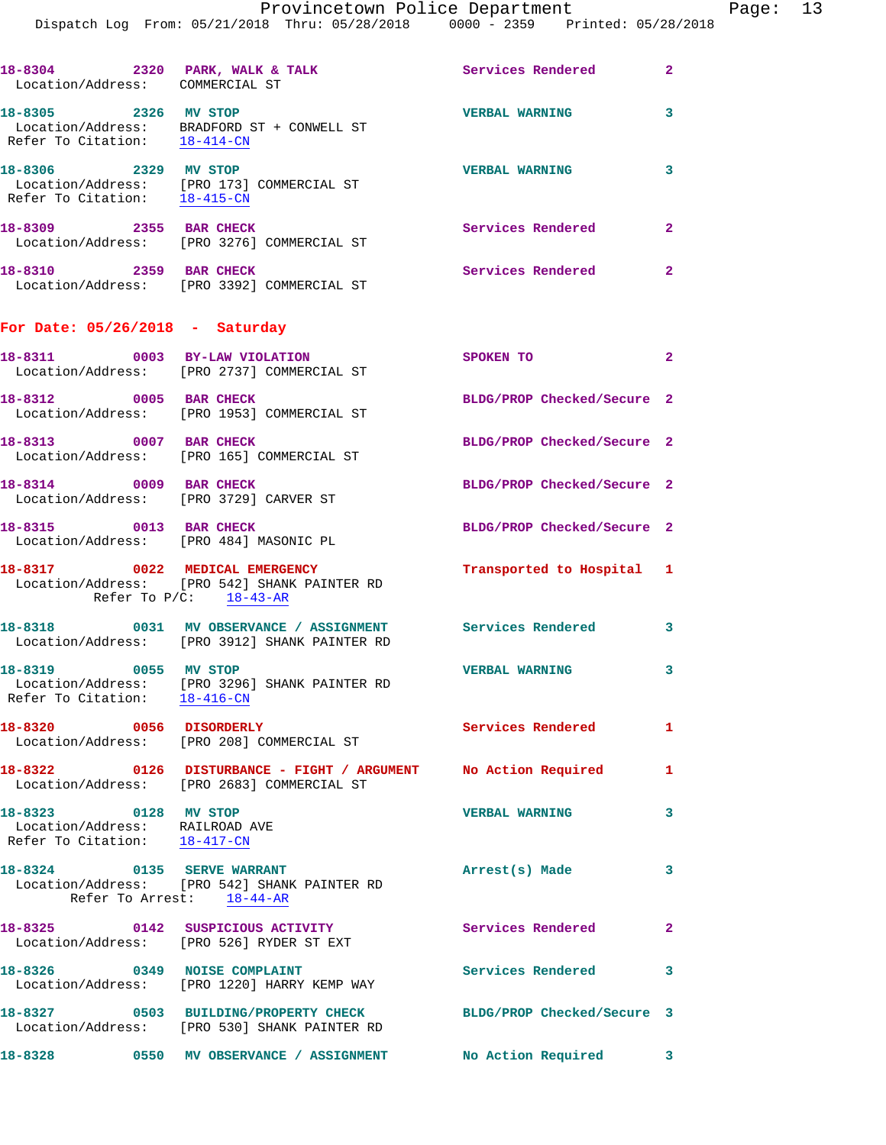|                                                                                        | Dispatch Log From: 05/21/2018 Thru: 05/28/2018 0000 - 2359 Printed: 05/28/2018                                  |                            |                |
|----------------------------------------------------------------------------------------|-----------------------------------------------------------------------------------------------------------------|----------------------------|----------------|
| 18-8304 2320 PARK, WALK & TALK<br>Location/Address: COMMERCIAL ST                      |                                                                                                                 | <b>Services Rendered</b>   | $\overline{2}$ |
| Refer To Citation: 18-414-CN                                                           | 18-8305 2326 MV STOP<br>Location/Address: BRADFORD ST + CONWELL ST                                              | <b>VERBAL WARNING</b>      | 3              |
| 18-8306 2329 MV STOP                                                                   | Location/Address: [PRO 173] COMMERCIAL ST<br>Refer To Citation: 18-415-CN                                       | <b>VERBAL WARNING</b>      | 3              |
| 18-8309 2355 BAR CHECK                                                                 | Location/Address: [PRO 3276] COMMERCIAL ST                                                                      | <b>Services Rendered</b>   | $\mathbf{2}$   |
| 18-8310 2359 BAR CHECK                                                                 | Location/Address: [PRO 3392] COMMERCIAL ST                                                                      | Services Rendered          | $\mathbf{2}$   |
| For Date: $05/26/2018$ - Saturday                                                      |                                                                                                                 |                            |                |
|                                                                                        | 18-8311 0003 BY-LAW VIOLATION<br>Location/Address: [PRO 2737] COMMERCIAL ST                                     | <b>SPOKEN TO</b>           | 2              |
| 18-8312 0005 BAR CHECK                                                                 | Location/Address: [PRO 1953] COMMERCIAL ST                                                                      | BLDG/PROP Checked/Secure 2 |                |
| 18-8313 0007 BAR CHECK                                                                 | Location/Address: [PRO 165] COMMERCIAL ST                                                                       | BLDG/PROP Checked/Secure 2 |                |
| 18-8314 0009 BAR CHECK<br>Location/Address: [PRO 3729] CARVER ST                       |                                                                                                                 | BLDG/PROP Checked/Secure 2 |                |
| 18-8315 0013 BAR CHECK                                                                 | Location/Address: [PRO 484] MASONIC PL                                                                          | BLDG/PROP Checked/Secure 2 |                |
|                                                                                        | 18-8317 0022 MEDICAL EMERGENCY<br>Location/Address: [PRO 542] SHANK PAINTER RD<br>Refer To $P/C$ : 18-43-AR     | Transported to Hospital 1  |                |
|                                                                                        | 18-8318 0031 MV OBSERVANCE / ASSIGNMENT Services Rendered<br>Location/Address: [PRO 3912] SHANK PAINTER RD      |                            | 3              |
| 18-8319 0055 MV STOP<br>Refer To Citation: 18-416-CN                                   | Location/Address: [PRO 3296] SHANK PAINTER RD                                                                   | <b>VERBAL WARNING</b>      |                |
| 18-8320 0056 DISORDERLY                                                                | Location/Address: [PRO 208] COMMERCIAL ST                                                                       | <b>Services Rendered</b>   | 1              |
|                                                                                        | 18-8322 0126 DISTURBANCE - FIGHT / ARGUMENT No Action Required<br>Location/Address: [PRO 2683] COMMERCIAL ST    |                            | 1              |
| 18-8323 0128 MV STOP<br>Location/Address: RAILROAD AVE<br>Refer To Citation: 18-417-CN |                                                                                                                 | <b>VERBAL WARNING</b>      | 3              |
| 18-8324 0135 SERVE WARRANT                                                             | Location/Address: [PRO 542] SHANK PAINTER RD<br>Refer To Arrest: 18-44-AR                                       | Arrest(s) Made             | 3              |
|                                                                                        | 18-8325 0142 SUSPICIOUS ACTIVITY<br>Location/Address: [PRO 526] RYDER ST EXT                                    | <b>Services Rendered</b>   | 2              |
| 18-8326 0349 NOISE COMPLAINT                                                           | Location/Address: [PRO 1220] HARRY KEMP WAY                                                                     | Services Rendered          | 3              |
|                                                                                        | 18-8327 0503 BUILDING/PROPERTY CHECK BLDG/PROP Checked/Secure 3<br>Location/Address: [PRO 530] SHANK PAINTER RD |                            |                |
|                                                                                        | 18-8328 0550 MV OBSERVANCE / ASSIGNMENT                                                                         | No Action Required         | 3              |
|                                                                                        |                                                                                                                 |                            |                |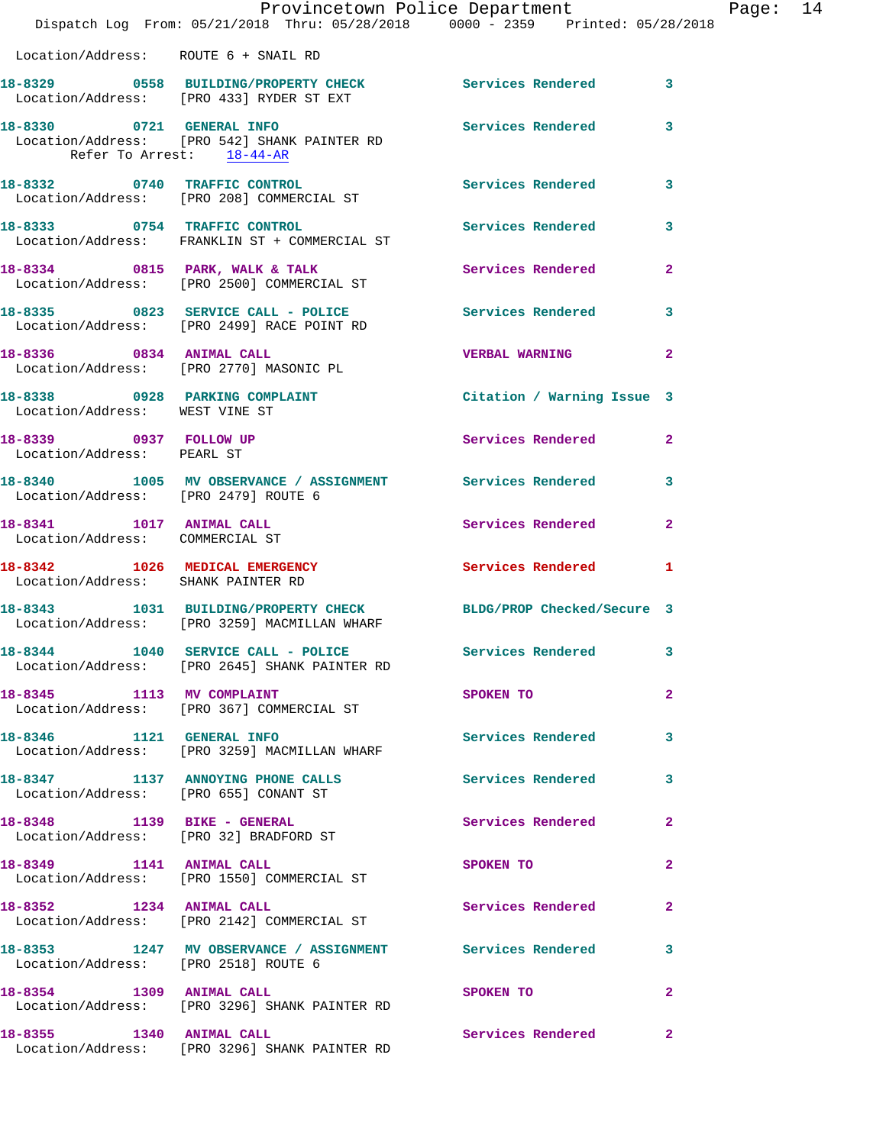|                                      | Provincetown Police Department Page: 14<br>Dispatch Log From: 05/21/2018 Thru: 05/28/2018  0000 - 2359  Printed: 05/28/2018 |                         |              |  |
|--------------------------------------|-----------------------------------------------------------------------------------------------------------------------------|-------------------------|--------------|--|
|                                      | Location/Address: ROUTE 6 + SNAIL RD                                                                                        |                         |              |  |
|                                      | 18-8329 0558 BUILDING/PROPERTY CHECK Services Rendered 3<br>Location/Address: [PRO 433] RYDER ST EXT                        |                         |              |  |
| Refer To Arrest: 18-44-AR            | 18-8330 0721 GENERAL INFO Services Rendered 3<br>Location/Address: [PRO 542] SHANK PAINTER RD                               |                         |              |  |
|                                      | 18-8332 0740 TRAFFIC CONTROL Services Rendered 3<br>Location/Address: [PRO 208] COMMERCIAL ST                               |                         |              |  |
|                                      | 18-8333 0754 TRAFFIC CONTROL<br>Location/Address: FRANKLIN ST + COMMERCIAL ST                                               | Services Rendered 3     |              |  |
|                                      | 18-8334 0815 PARK, WALK & TALK (Services Rendered 2)<br>Location/Address: [PRO 2500] COMMERCIAL ST                          |                         |              |  |
|                                      | 18-8335 0823 SERVICE CALL - POLICE Services Rendered 3<br>Location/Address: [PRO 2499] RACE POINT RD                        |                         |              |  |
|                                      | 18-8336 0834 ANIMAL CALL<br>Location/Address: [PRO 2770] MASONIC PL                                                         | <b>VERBAL WARNING</b> 2 |              |  |
| Location/Address: WEST VINE ST       | 18-8338 0928 PARKING COMPLAINT Contract Citation / Warning Issue 3                                                          |                         |              |  |
| Location/Address: PEARL ST           | 18-8339 0937 FOLLOW UP                                                                                                      | Services Rendered 2     |              |  |
| Location/Address: [PRO 2479] ROUTE 6 | 18-8340 1005 MV OBSERVANCE / ASSIGNMENT Services Rendered 3                                                                 |                         |              |  |
| Location/Address: COMMERCIAL ST      | 18-8341 1017 ANIMAL CALL                                                                                                    | Services Rendered       | $\mathbf{2}$ |  |
| Location/Address: SHANK PAINTER RD   | 18-8342 1026 MEDICAL EMERGENCY Services Rendered 1                                                                          |                         |              |  |
|                                      | 18-8343 1031 BUILDING/PROPERTY CHECK BLDG/PROP Checked/Secure 3<br>Location/Address: [PRO 3259] MACMILLAN WHARF             |                         |              |  |
|                                      | 18-8344 1040 SERVICE CALL - POLICE<br>Location/Address: [PRO 2645] SHANK PAINTER RD                                         | Services Rendered       |              |  |
| 18-8345 1113 MV COMPLAINT            | Location/Address: [PRO 367] COMMERCIAL ST                                                                                   | SPOKEN TO<br>$\sim$ 2   |              |  |
|                                      | 18-8346 1121 GENERAL INFO<br>Location/Address: [PRO 3259] MACMILLAN WHARF                                                   | Services Rendered 3     |              |  |
|                                      | 18-8347 1137 ANNOYING PHONE CALLS<br>Location/Address: [PRO 655] CONANT ST                                                  | Services Rendered 3     |              |  |
|                                      | 18-8348 1139 BIKE - GENERAL<br>Location/Address: [PRO 32] BRADFORD ST                                                       | Services Rendered 2     |              |  |
|                                      | 18-8349 1141 ANIMAL CALL<br>Location/Address: [PRO 1550] COMMERCIAL ST                                                      | SPOKEN TO               | $\mathbf{2}$ |  |
|                                      | 18-8352 1234 ANIMAL CALL<br>Location/Address: [PRO 2142] COMMERCIAL ST                                                      | Services Rendered 2     |              |  |
| Location/Address: [PRO 2518] ROUTE 6 | 18-8353 1247 MV OBSERVANCE / ASSIGNMENT Services Rendered 3                                                                 |                         |              |  |
| 18-8354 1309 ANIMAL CALL             | Location/Address: [PRO 3296] SHANK PAINTER RD                                                                               | SPOKEN TO<br>$\sim$ 2   |              |  |
| 18-8355 1340 ANIMAL CALL             | Location/Address: [PRO 3296] SHANK PAINTER RD                                                                               | Services Rendered 2     |              |  |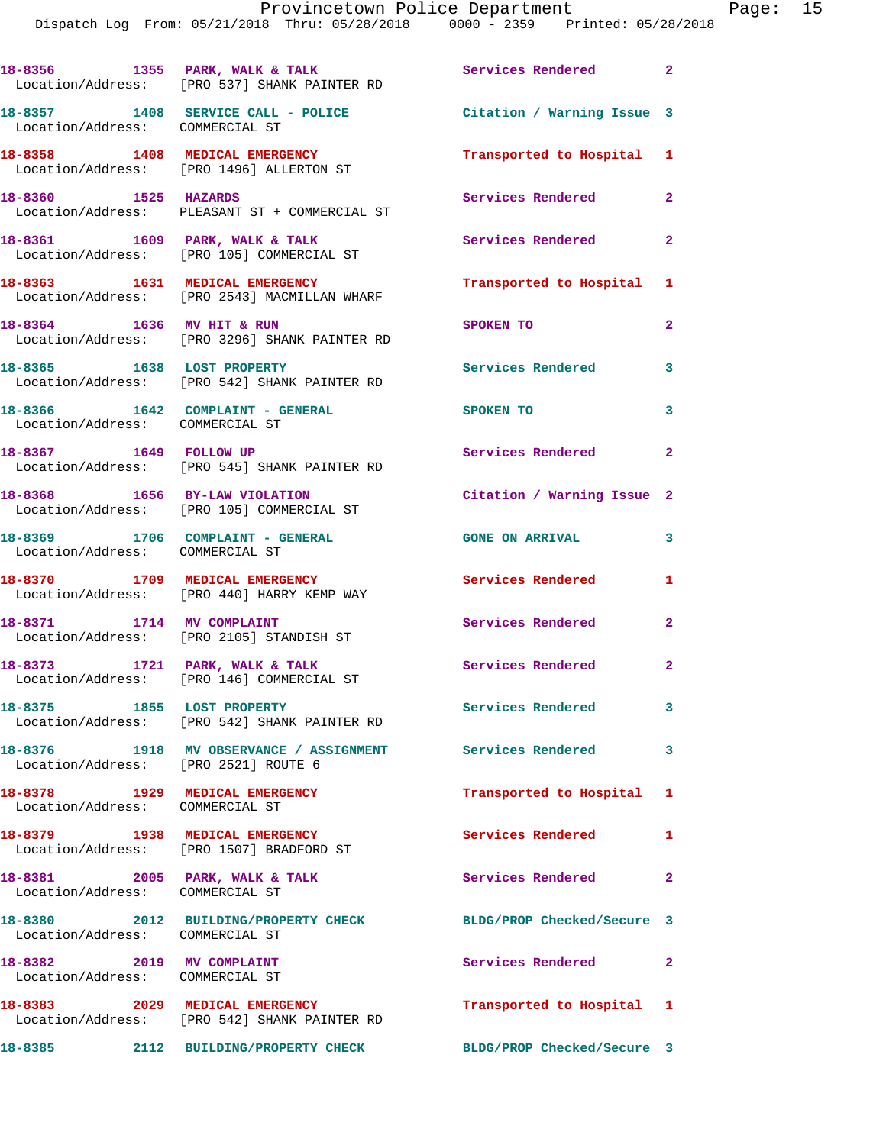|                                                                     | 18-8356 1355 PARK, WALK & TALK<br>Location/Address: [PRO 537] SHANK PAINTER RD | Services Rendered 2        |                |
|---------------------------------------------------------------------|--------------------------------------------------------------------------------|----------------------------|----------------|
| Location/Address: COMMERCIAL ST                                     | 18-8357 1408 SERVICE CALL - POLICE                                             | Citation / Warning Issue 3 |                |
|                                                                     | 18-8358 1408 MEDICAL EMERGENCY<br>Location/Address: [PRO 1496] ALLERTON ST     | Transported to Hospital 1  |                |
| 18-8360 1525 HAZARDS                                                | Location/Address: PLEASANT ST + COMMERCIAL ST                                  | Services Rendered          | $\overline{2}$ |
|                                                                     | 18-8361 1609 PARK, WALK & TALK<br>Location/Address: [PRO 105] COMMERCIAL ST    | Services Rendered          | $\mathbf{2}$   |
|                                                                     | 18-8363 1631 MEDICAL EMERGENCY<br>Location/Address: [PRO 2543] MACMILLAN WHARF | Transported to Hospital 1  |                |
| 18-8364 1636 MV HIT & RUN                                           | Location/Address: [PRO 3296] SHANK PAINTER RD                                  | SPOKEN TO                  | $\mathbf{2}$   |
| 18-8365 1638 LOST PROPERTY                                          | Location/Address: [PRO 542] SHANK PAINTER RD                                   | Services Rendered          | 3              |
| Location/Address: COMMERCIAL ST                                     | 18-8366 1642 COMPLAINT - GENERAL                                               | <b>SPOKEN TO</b>           | 3              |
| 18-8367 1649 FOLLOW UP                                              | Location/Address: [PRO 545] SHANK PAINTER RD                                   | Services Rendered          | $\mathbf{2}$   |
|                                                                     | 18-8368 1656 BY-LAW VIOLATION<br>Location/Address: [PRO 105] COMMERCIAL ST     | Citation / Warning Issue 2 |                |
| 18-8369 1706 COMPLAINT - GENERAL<br>Location/Address: COMMERCIAL ST |                                                                                | <b>GONE ON ARRIVAL</b>     | 3              |
|                                                                     | 18-8370 1709 MEDICAL EMERGENCY<br>Location/Address: [PRO 440] HARRY KEMP WAY   | Services Rendered          | 1              |
| 18-8371 1714 MV COMPLAINT                                           | Location/Address: [PRO 2105] STANDISH ST                                       | Services Rendered          | $\mathbf{2}$   |
|                                                                     | 18-8373 1721 PARK, WALK & TALK<br>Location/Address: [PRO 146] COMMERCIAL ST    | Services Rendered          | $\mathbf{2}$   |
| 18-8375 1855 LOST PROPERTY                                          | Location/Address: [PRO 542] SHANK PAINTER RD                                   | Services Rendered          | 3              |
| Location/Address: [PRO 2521] ROUTE 6                                | 18-8376 1918 MV OBSERVANCE / ASSIGNMENT Services Rendered                      |                            | 3              |
| 18-8378 1929 MEDICAL EMERGENCY<br>Location/Address: COMMERCIAL ST   |                                                                                | Transported to Hospital 1  |                |
| 18-8379 1938 MEDICAL EMERGENCY                                      | Location/Address: [PRO 1507] BRADFORD ST                                       | Services Rendered          | 1              |
| 18-8381 2005 PARK, WALK & TALK<br>Location/Address: COMMERCIAL ST   |                                                                                | Services Rendered          | $\mathbf{2}$   |
| Location/Address: COMMERCIAL ST                                     | 18-8380 2012 BUILDING/PROPERTY CHECK                                           | BLDG/PROP Checked/Secure 3 |                |
| 18-8382 2019 MV COMPLAINT<br>Location/Address: COMMERCIAL ST        |                                                                                | Services Rendered 2        |                |
|                                                                     | 18-8383 2029 MEDICAL EMERGENCY<br>Location/Address: [PRO 542] SHANK PAINTER RD | Transported to Hospital 1  |                |
|                                                                     | 18-8385 2112 BUILDING/PROPERTY CHECK                                           | BLDG/PROP Checked/Secure 3 |                |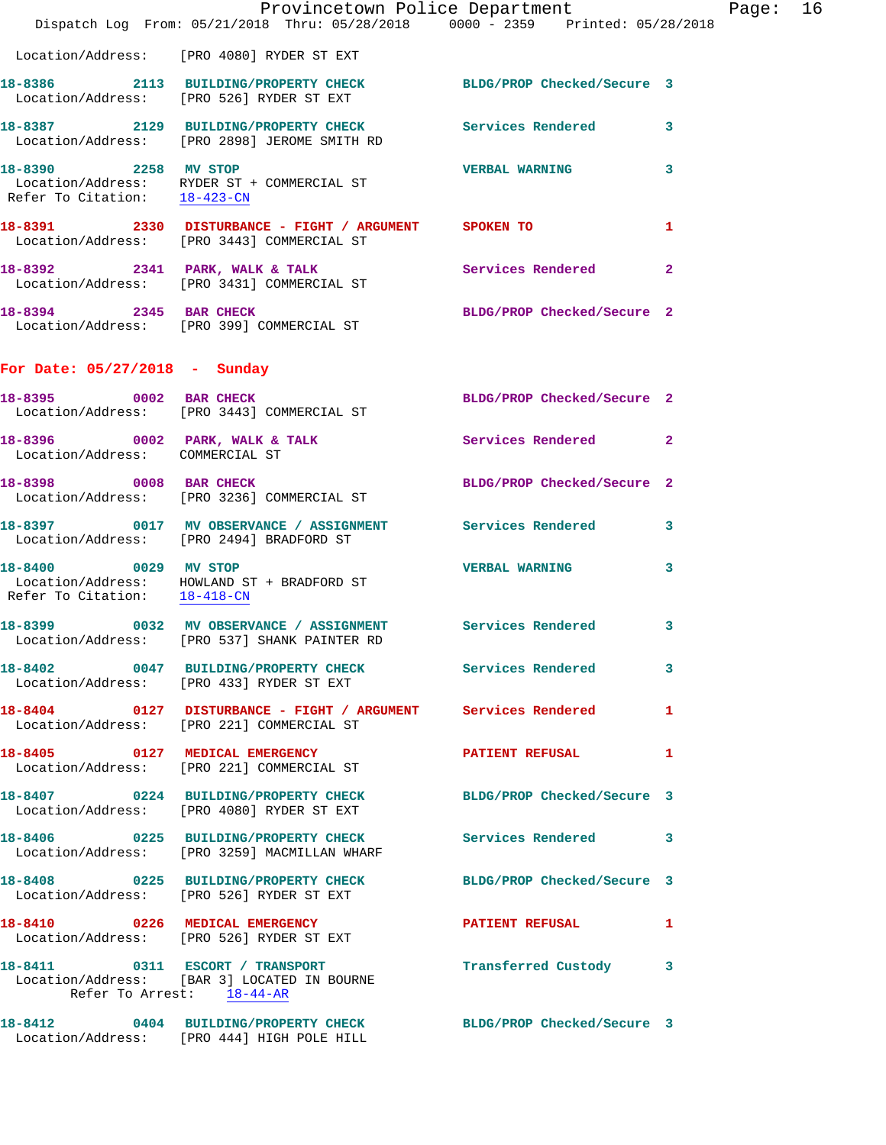|                                 | Dispatch Log From: 05/21/2018 Thru: 05/28/2018 0000 - 2359 Printed: 05/28/2018                                 | Provincetown Police Department Page: 16 |              |  |
|---------------------------------|----------------------------------------------------------------------------------------------------------------|-----------------------------------------|--------------|--|
|                                 | Location/Address: [PRO 4080] RYDER ST EXT                                                                      |                                         |              |  |
|                                 | 18-8386 2113 BUILDING/PROPERTY CHECK BLDG/PROP Checked/Secure 3<br>Location/Address: [PRO 526] RYDER ST EXT    |                                         |              |  |
|                                 | 18-8387 2129 BUILDING/PROPERTY CHECK Services Rendered 3<br>Location/Address: [PRO 2898] JEROME SMITH RD       |                                         |              |  |
| 18-8390 2258 MV STOP            | Location/Address: RYDER ST + COMMERCIAL ST<br>Refer To Citation: $\frac{18-423-CN}{\pi}$                       | <b>VERBAL WARNING</b>                   | 3            |  |
|                                 | 18-8391 2330 DISTURBANCE - FIGHT / ARGUMENT SPOKEN TO<br>Location/Address: [PRO 3443] COMMERCIAL ST            |                                         | 1            |  |
|                                 | 18-8392 2341 PARK, WALK & TALK STARE Services Rendered 2<br>Location/Address: [PRO 3431] COMMERCIAL ST         |                                         |              |  |
|                                 | 18-8394 2345 BAR CHECK<br>Location/Address: [PRO 399] COMMERCIAL ST                                            | BLDG/PROP Checked/Secure 2              |              |  |
| For Date: 05/27/2018 - Sunday   |                                                                                                                |                                         |              |  |
|                                 | 18-8395 0002 BAR CHECK<br>Location/Address: [PRO 3443] COMMERCIAL ST                                           | BLDG/PROP Checked/Secure 2              |              |  |
| Location/Address: COMMERCIAL ST | 18-8396 0002 PARK, WALK & TALK 3 Services Rendered 2                                                           |                                         |              |  |
|                                 | 18-8398 0008 BAR CHECK<br>Location/Address: [PRO 3236] COMMERCIAL ST                                           | BLDG/PROP Checked/Secure 2              |              |  |
|                                 | 18-8397 0017 MV OBSERVANCE / ASSIGNMENT Services Rendered 3<br>Location/Address: [PRO 2494] BRADFORD ST        |                                         |              |  |
| 18-8400 0029 MV STOP            | Location/Address: HOWLAND ST + BRADFORD ST<br>Refer To Citation: $\frac{18-418\text{ -CN}}{18-418\text{ -CN}}$ | <b>VERBAL WARNING</b>                   | $\mathbf{3}$ |  |
|                                 | 18-8399 0032 MV OBSERVANCE / ASSIGNMENT Services Rendered<br>Location/Address: [PRO 537] SHANK PAINTER RD      |                                         | 3            |  |
|                                 | 18-8402 0047 BUILDING/PROPERTY CHECK Services Rendered 3<br>Location/Address: [PRO 433] RYDER ST EXT           |                                         |              |  |
|                                 | 18-8404 0127 DISTURBANCE - FIGHT / ARGUMENT Services Rendered<br>Location/Address: [PRO 221] COMMERCIAL ST     |                                         | $\mathbf{1}$ |  |
|                                 | 18-8405 0127 MEDICAL EMERGENCY<br>Location/Address: [PRO 221] COMMERCIAL ST                                    | PATIENT REFUSAL 1                       |              |  |
|                                 | 18-8407 0224 BUILDING/PROPERTY CHECK BLDG/PROP Checked/Secure 3<br>Location/Address: [PRO 4080] RYDER ST EXT   |                                         |              |  |
|                                 | 18-8406 0225 BUILDING/PROPERTY CHECK Services Rendered 3<br>Location/Address: [PRO 3259] MACMILLAN WHARF       |                                         |              |  |
|                                 | 18-8408 0225 BUILDING/PROPERTY CHECK BLDG/PROP Checked/Secure 3<br>Location/Address: [PRO 526] RYDER ST EXT    |                                         |              |  |
|                                 | 18-8410 0226 MEDICAL EMERGENCY PATIENT REFUSAL 1<br>Location/Address: [PRO 526] RYDER ST EXT                   |                                         |              |  |
| Refer To Arrest: 18-44-AR       | 18-8411 0311 ESCORT / TRANSPORT<br>Location/Address: [BAR 3] LOCATED IN BOURNE                                 | Transferred Custody 3                   |              |  |
|                                 | 18-8412 0404 BUILDING/PROPERTY CHECK BLDG/PROP Checked/Secure 3<br>Location/Address: [PRO 444] HIGH POLE HILL  |                                         |              |  |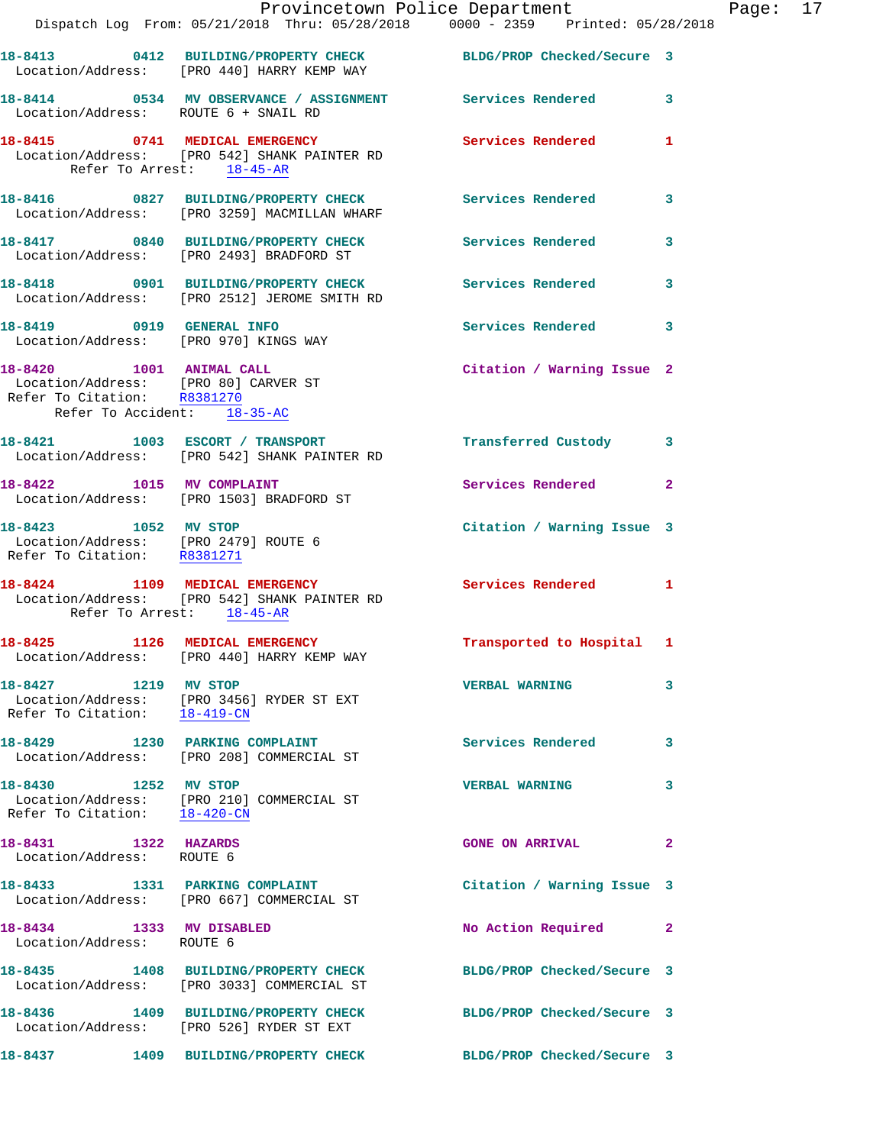|                                                                                                 | Provincetown Police Department<br>Dispatch Log From: 05/21/2018 Thru: 05/28/2018 0000 - 2359 Printed: 05/28/2018        |                            |              |
|-------------------------------------------------------------------------------------------------|-------------------------------------------------------------------------------------------------------------------------|----------------------------|--------------|
|                                                                                                 |                                                                                                                         |                            |              |
|                                                                                                 | 18-8413 0412 BUILDING/PROPERTY CHECK BLDG/PROP Checked/Secure 3<br>Location/Address: [PRO 440] HARRY KEMP WAY           |                            |              |
| Location/Address: ROUTE 6 + SNAIL RD                                                            | 18-8414 0534 MV OBSERVANCE / ASSIGNMENT Services Rendered                                                               |                            | 3            |
| Refer To Arrest: 18-45-AR                                                                       | 18-8415 0741 MEDICAL EMERGENCY<br>Location/Address: [PRO 542] SHANK PAINTER RD                                          | <b>Services Rendered</b>   | 1            |
|                                                                                                 | 18-8416      0827   BUILDING/PROPERTY CHECK         Services Rendered<br>Location/Address:   [PRO 3259] MACMILLAN WHARF |                            | 3            |
|                                                                                                 | 18-8417 0840 BUILDING/PROPERTY CHECK<br>Location/Address: [PRO 2493] BRADFORD ST                                        | <b>Services Rendered</b>   | 3            |
|                                                                                                 | 18-8418 0901 BUILDING/PROPERTY CHECK Services Rendered<br>Location/Address: [PRO 2512] JEROME SMITH RD                  |                            | 3            |
| 18-8419 0919 GENERAL INFO<br>Location/Address: [PRO 970] KINGS WAY                              |                                                                                                                         | <b>Services Rendered</b>   | 3            |
| 18-8420 1001 ANIMAL CALL<br>Location/Address: [PRO 80] CARVER ST<br>Refer To Citation: R8381270 |                                                                                                                         | Citation / Warning Issue 2 |              |
| Refer To Accident: 18-35-AC                                                                     |                                                                                                                         |                            |              |
|                                                                                                 | 18-8421 1003 ESCORT / TRANSPORT<br>Location/Address: [PRO 542] SHANK PAINTER RD                                         | Transferred Custody        | 3            |
|                                                                                                 | 18-8422 1015 MV COMPLAINT<br>Location/Address: [PRO 1503] BRADFORD ST                                                   | <b>Services Rendered</b>   | $\mathbf{2}$ |
| 18-8423 1052 MV STOP<br>Location/Address: [PRO 2479] ROUTE 6<br>Refer To Citation: R8381271     |                                                                                                                         | Citation / Warning Issue 3 |              |
| Refer To Arrest: 18-45-AR                                                                       | 18-8424 1109 MEDICAL EMERGENCY<br>Location/Address: [PRO 542] SHANK PAINTER RD                                          | Services Rendered          | 1            |
| 18-8425 1126 MEDICAL EMERGENCY                                                                  | Location/Address: [PRO 440] HARRY KEMP WAY                                                                              | Transported to Hospital    | 1            |
| Refer To Citation: 18-419-CN                                                                    | 18-8427 1219 MV STOP<br>Location/Address: [PRO 3456] RYDER ST EXT                                                       | <b>VERBAL WARNING</b>      | 3            |
|                                                                                                 | 18-8429 1230 PARKING COMPLAINT<br>Location/Address: [PRO 208] COMMERCIAL ST                                             | <b>Services Rendered</b>   | 3            |
| 18-8430 1252 MV STOP<br>Refer To Citation: 18-420-CN                                            | Location/Address: [PRO 210] COMMERCIAL ST                                                                               | <b>VERBAL WARNING</b>      | 3            |
| 18-8431 1322 HAZARDS<br>Location/Address: ROUTE 6                                               |                                                                                                                         | <b>GONE ON ARRIVAL</b>     | 2            |
|                                                                                                 | 18-8433 1331 PARKING COMPLAINT<br>Location/Address: [PRO 667] COMMERCIAL ST                                             | Citation / Warning Issue 3 |              |
| 18-8434 1333 MV DISABLED<br>Location/Address: ROUTE 6                                           |                                                                                                                         | No Action Required         | 2            |
|                                                                                                 | 18-8435 1408 BUILDING/PROPERTY CHECK<br>Location/Address: [PRO 3033] COMMERCIAL ST                                      | BLDG/PROP Checked/Secure 3 |              |
|                                                                                                 | 18-8436 1409 BUILDING/PROPERTY CHECK<br>Location/Address: [PRO 526] RYDER ST EXT                                        | BLDG/PROP Checked/Secure 3 |              |
| 18-8437                                                                                         | 1409 BUILDING/PROPERTY CHECK                                                                                            | BLDG/PROP Checked/Secure 3 |              |

Page: 17<br>8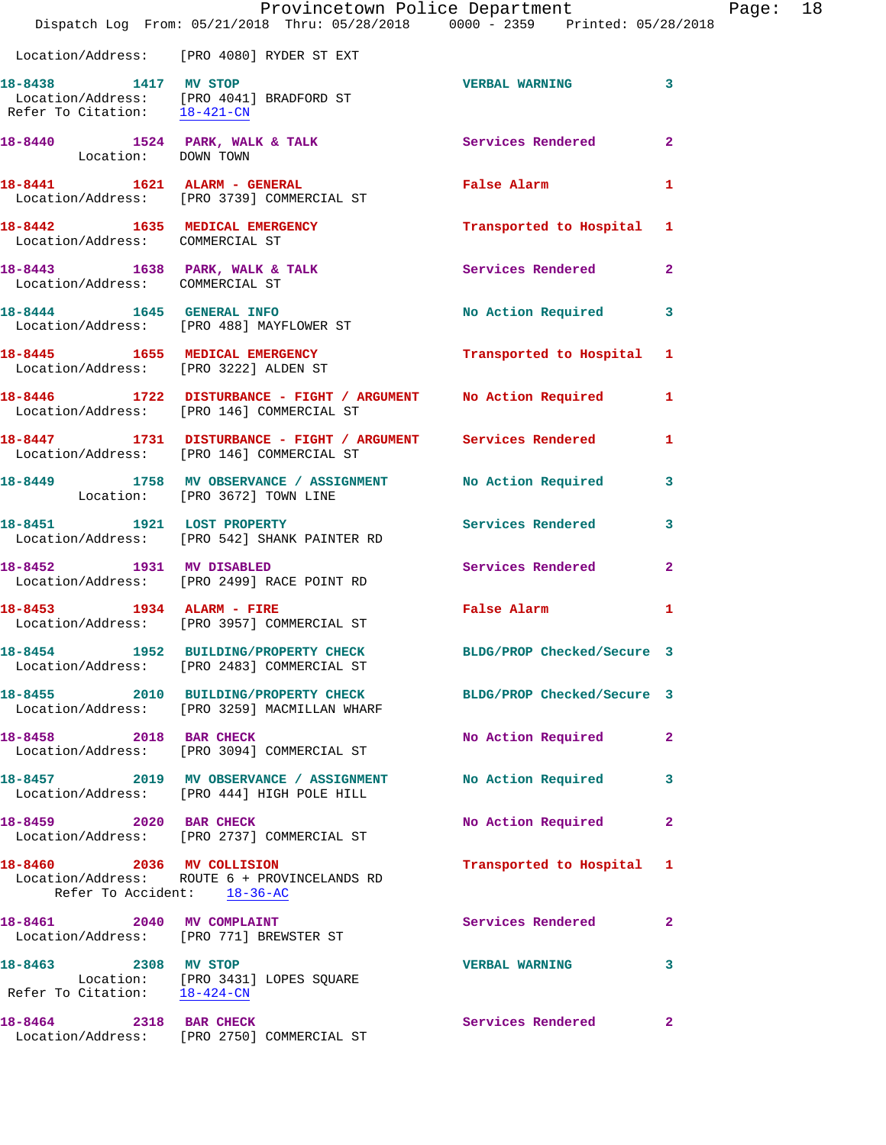|                                                          | Provincetown Police Department Fage: 18<br>Dispatch Log From: 05/21/2018 Thru: 05/28/2018 0000 - 2359 Printed: 05/28/2018           |                            |              |  |
|----------------------------------------------------------|-------------------------------------------------------------------------------------------------------------------------------------|----------------------------|--------------|--|
|                                                          | Location/Address: [PRO 4080] RYDER ST EXT                                                                                           |                            |              |  |
|                                                          | 18-8438 1417 MV STOP<br>Location/Address: [PRO 4041] BRADFORD ST<br>Refer To Citation: $\frac{18-421-\text{CN}}{18-421-\text{CN}}}$ | VERBAL WARNING 3           |              |  |
| Location: DOWN TOWN                                      | 18-8440 1524 PARK, WALK & TALK 1999 Services Rendered 2                                                                             |                            |              |  |
|                                                          | 18-8441 1621 ALARM - GENERAL False Alarm False Alarm 1<br>Location/Address: [PRO 3739] COMMERCIAL ST                                |                            |              |  |
| Location/Address: COMMERCIAL ST                          | 18-8442 1635 MEDICAL EMERGENCY Transported to Hospital 1                                                                            |                            |              |  |
| Location/Address: COMMERCIAL ST                          | 18-8443 1638 PARK, WALK & TALK 6 Services Rendered 2                                                                                |                            |              |  |
|                                                          | 18-8444 1645 GENERAL INFO<br>Location/Address: [PRO 488] MAYFLOWER ST                                                               | No Action Required 3       |              |  |
|                                                          | 18-8445 1655 MEDICAL EMERGENCY 1 Transported to Hospital 1<br>Location/Address: [PRO 3222] ALDEN ST                                 |                            |              |  |
|                                                          | 18-8446 1722 DISTURBANCE - FIGHT / ARGUMENT No Action Required 1<br>Location/Address: [PRO 146] COMMERCIAL ST                       |                            |              |  |
|                                                          | 18-8447 1731 DISTURBANCE - FIGHT / ARGUMENT Services Rendered<br>Location/Address: [PRO 146] COMMERCIAL ST                          |                            | $\mathbf{1}$ |  |
|                                                          | 18-8449 1758 MV OBSERVANCE / ASSIGNMENT No Action Required 3<br>Location: [PRO 3672] TOWN LINE                                      |                            |              |  |
|                                                          | 18-8451 1921 LOST PROPERTY 1988 Services Rendered 3<br>Location/Address: [PRO 542] SHANK PAINTER RD                                 |                            |              |  |
|                                                          | 18-8452 1931 MV DISABLED<br>Location/Address: [PRO 2499] RACE POINT RD                                                              | Services Rendered 2        |              |  |
|                                                          | 18-8453 1934 ALARM - FIRE<br>Location/Address: [PRO 3957] COMMERCIAL ST                                                             | False Alarm                | $\mathbf{1}$ |  |
| 18-8454                                                  | 1952 BUILDING/PROPERTY CHECK<br>Location/Address: [PRO 2483] COMMERCIAL ST                                                          | BLDG/PROP Checked/Secure 3 |              |  |
|                                                          | 18-8455 2010 BUILDING/PROPERTY CHECK<br>Location/Address: [PRO 3259] MACMILLAN WHARF                                                | BLDG/PROP Checked/Secure 3 |              |  |
| 18-8458 2018 BAR CHECK                                   | Location/Address: [PRO 3094] COMMERCIAL ST                                                                                          | No Action Required         | 2            |  |
|                                                          | 18-8457 2019 MV OBSERVANCE / ASSIGNMENT<br>Location/Address: [PRO 444] HIGH POLE HILL                                               | No Action Required         | 3            |  |
| 18-8459 2020 BAR CHECK                                   | Location/Address: [PRO 2737] COMMERCIAL ST                                                                                          | No Action Required         | $\mathbf{2}$ |  |
| 18-8460 2036 MV COLLISION<br>Refer To Accident: 18-36-AC | Location/Address: ROUTE 6 + PROVINCELANDS RD                                                                                        | Transported to Hospital 1  |              |  |
| 18-8461 2040 MV COMPLAINT                                | Location/Address: [PRO 771] BREWSTER ST                                                                                             | Services Rendered          | $\mathbf{2}$ |  |
| 18-8463 2308 MV STOP                                     | Location: [PRO 3431] LOPES SQUARE<br>Refer To Citation: 18-424-CN                                                                   | <b>VERBAL WARNING</b>      | 3            |  |
| 18-8464 2318 BAR CHECK                                   | Location/Address: [PRO 2750] COMMERCIAL ST                                                                                          | Services Rendered          | $\mathbf{2}$ |  |